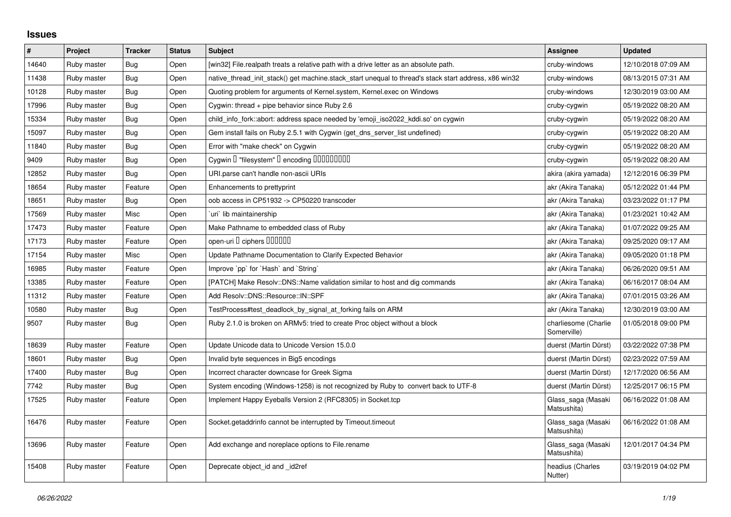## **Issues**

| $\vert$ # | Project     | <b>Tracker</b> | <b>Status</b> | <b>Subject</b>                                                                                        | <b>Assignee</b>                     | <b>Updated</b>      |
|-----------|-------------|----------------|---------------|-------------------------------------------------------------------------------------------------------|-------------------------------------|---------------------|
| 14640     | Ruby master | Bug            | Open          | [win32] File.realpath treats a relative path with a drive letter as an absolute path.                 | cruby-windows                       | 12/10/2018 07:09 AM |
| 11438     | Ruby master | Bug            | Open          | native_thread_init_stack() get machine.stack_start unequal to thread's stack start address, x86 win32 | cruby-windows                       | 08/13/2015 07:31 AM |
| 10128     | Ruby master | <b>Bug</b>     | Open          | Quoting problem for arguments of Kernel.system, Kernel.exec on Windows                                | cruby-windows                       | 12/30/2019 03:00 AM |
| 17996     | Ruby master | Bug            | Open          | Cygwin: thread $+$ pipe behavior since Ruby 2.6                                                       | cruby-cygwin                        | 05/19/2022 08:20 AM |
| 15334     | Ruby master | Bug            | Open          | child info fork::abort: address space needed by 'emoji iso2022 kddi.so' on cygwin                     | cruby-cygwin                        | 05/19/2022 08:20 AM |
| 15097     | Ruby master | Bug            | Open          | Gem install fails on Ruby 2.5.1 with Cygwin (get_dns_server_list undefined)                           | cruby-cygwin                        | 05/19/2022 08:20 AM |
| 11840     | Ruby master | Bug            | Open          | Error with "make check" on Cygwin                                                                     | cruby-cygwin                        | 05/19/2022 08:20 AM |
| 9409      | Ruby master | Bug            | Open          | Cygwin I "filesystem" I encoding IIIIIIIIIIIII                                                        | cruby-cygwin                        | 05/19/2022 08:20 AM |
| 12852     | Ruby master | Bug            | Open          | URI.parse can't handle non-ascii URIs                                                                 | akira (akira yamada)                | 12/12/2016 06:39 PM |
| 18654     | Ruby master | Feature        | Open          | Enhancements to prettyprint                                                                           | akr (Akira Tanaka)                  | 05/12/2022 01:44 PM |
| 18651     | Ruby master | Bug            | Open          | oob access in CP51932 -> CP50220 transcoder                                                           | akr (Akira Tanaka)                  | 03/23/2022 01:17 PM |
| 17569     | Ruby master | Misc           | Open          | uri lib maintainership                                                                                | akr (Akira Tanaka)                  | 01/23/2021 10:42 AM |
| 17473     | Ruby master | Feature        | Open          | Make Pathname to embedded class of Ruby                                                               | akr (Akira Tanaka)                  | 01/07/2022 09:25 AM |
| 17173     | Ruby master | Feature        | Open          | open-uri I ciphers IIIIIII                                                                            | akr (Akira Tanaka)                  | 09/25/2020 09:17 AM |
| 17154     | Ruby master | Misc           | Open          | Update Pathname Documentation to Clarify Expected Behavior                                            | akr (Akira Tanaka)                  | 09/05/2020 01:18 PM |
| 16985     | Ruby master | Feature        | Open          | Improve `pp` for `Hash` and `String`                                                                  | akr (Akira Tanaka)                  | 06/26/2020 09:51 AM |
| 13385     | Ruby master | Feature        | Open          | [PATCH] Make Resolv::DNS::Name validation similar to host and dig commands                            | akr (Akira Tanaka)                  | 06/16/2017 08:04 AM |
| 11312     | Ruby master | Feature        | Open          | Add Resolv::DNS::Resource::IN::SPF                                                                    | akr (Akira Tanaka)                  | 07/01/2015 03:26 AM |
| 10580     | Ruby master | Bug            | Open          | TestProcess#test deadlock by signal at forking fails on ARM                                           | akr (Akira Tanaka)                  | 12/30/2019 03:00 AM |
| 9507      | Ruby master | Bug            | Open          | Ruby 2.1.0 is broken on ARMv5: tried to create Proc object without a block                            | charliesome (Charlie<br>Somerville) | 01/05/2018 09:00 PM |
| 18639     | Ruby master | Feature        | Open          | Update Unicode data to Unicode Version 15.0.0                                                         | duerst (Martin Dürst)               | 03/22/2022 07:38 PM |
| 18601     | Ruby master | Bug            | Open          | Invalid byte sequences in Big5 encodings                                                              | duerst (Martin Dürst)               | 02/23/2022 07:59 AM |
| 17400     | Ruby master | <b>Bug</b>     | Open          | Incorrect character downcase for Greek Sigma                                                          | duerst (Martin Dürst)               | 12/17/2020 06:56 AM |
| 7742      | Ruby master | Bug            | Open          | System encoding (Windows-1258) is not recognized by Ruby to convert back to UTF-8                     | duerst (Martin Dürst)               | 12/25/2017 06:15 PM |
| 17525     | Ruby master | Feature        | Open          | Implement Happy Eyeballs Version 2 (RFC8305) in Socket.tcp                                            | Glass_saga (Masaki<br>Matsushita)   | 06/16/2022 01:08 AM |
| 16476     | Ruby master | Feature        | Open          | Socket.getaddrinfo cannot be interrupted by Timeout.timeout                                           | Glass_saga (Masaki<br>Matsushita)   | 06/16/2022 01:08 AM |
| 13696     | Ruby master | Feature        | Open          | Add exchange and noreplace options to File.rename                                                     | Glass_saga (Masaki<br>Matsushita)   | 12/01/2017 04:34 PM |
| 15408     | Ruby master | Feature        | Open          | Deprecate object_id and _id2ref                                                                       | headius (Charles<br>Nutter)         | 03/19/2019 04:02 PM |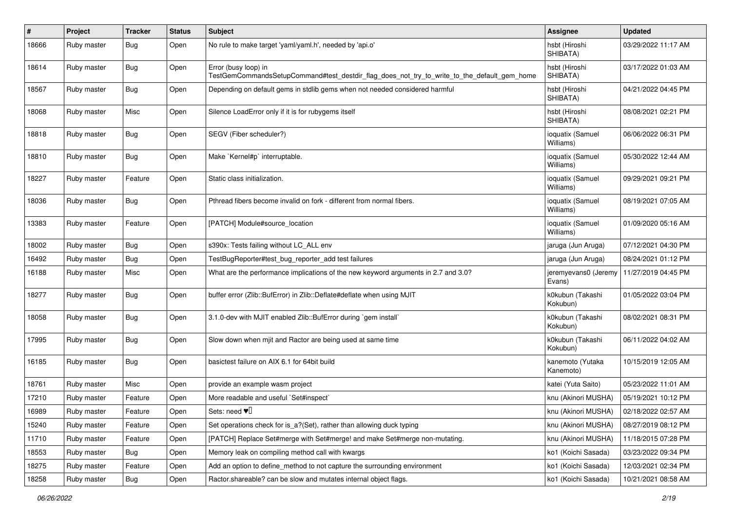| #     | Project     | <b>Tracker</b> | <b>Status</b> | Subject                                                                                                             | <b>Assignee</b>                | <b>Updated</b>      |
|-------|-------------|----------------|---------------|---------------------------------------------------------------------------------------------------------------------|--------------------------------|---------------------|
| 18666 | Ruby master | Bug            | Open          | No rule to make target 'yaml/yaml.h', needed by 'api.o'                                                             | hsbt (Hiroshi<br>SHIBATA)      | 03/29/2022 11:17 AM |
| 18614 | Ruby master | Bug            | Open          | Error (busy loop) in<br>TestGemCommandsSetupCommand#test_destdir_flag_does_not_try_to_write_to_the_default_gem_home | hsbt (Hiroshi<br>SHIBATA)      | 03/17/2022 01:03 AM |
| 18567 | Ruby master | Bug            | Open          | Depending on default gems in stdlib gems when not needed considered harmful                                         | hsbt (Hiroshi<br>SHIBATA)      | 04/21/2022 04:45 PM |
| 18068 | Ruby master | Misc           | Open          | Silence LoadError only if it is for rubygems itself                                                                 | hsbt (Hiroshi<br>SHIBATA)      | 08/08/2021 02:21 PM |
| 18818 | Ruby master | Bug            | Open          | SEGV (Fiber scheduler?)                                                                                             | ioquatix (Samuel<br>Williams)  | 06/06/2022 06:31 PM |
| 18810 | Ruby master | Bug            | Open          | Make `Kernel#p` interruptable.                                                                                      | ioquatix (Samuel<br>Williams)  | 05/30/2022 12:44 AM |
| 18227 | Ruby master | Feature        | Open          | Static class initialization.                                                                                        | ioquatix (Samuel<br>Williams)  | 09/29/2021 09:21 PM |
| 18036 | Ruby master | <b>Bug</b>     | Open          | Pthread fibers become invalid on fork - different from normal fibers.                                               | ioquatix (Samuel<br>Williams)  | 08/19/2021 07:05 AM |
| 13383 | Ruby master | Feature        | Open          | [PATCH] Module#source_location                                                                                      | ioquatix (Samuel<br>Williams)  | 01/09/2020 05:16 AM |
| 18002 | Ruby master | Bug            | Open          | s390x: Tests failing without LC_ALL env                                                                             | jaruga (Jun Aruga)             | 07/12/2021 04:30 PM |
| 16492 | Ruby master | Bug            | Open          | TestBugReporter#test_bug_reporter_add test failures                                                                 | jaruga (Jun Aruga)             | 08/24/2021 01:12 PM |
| 16188 | Ruby master | Misc           | Open          | What are the performance implications of the new keyword arguments in 2.7 and 3.0?                                  | jeremyevans0 (Jeremy<br>Evans) | 11/27/2019 04:45 PM |
| 18277 | Ruby master | Bug            | Open          | buffer error (Zlib::BufError) in Zlib::Deflate#deflate when using MJIT                                              | k0kubun (Takashi<br>Kokubun)   | 01/05/2022 03:04 PM |
| 18058 | Ruby master | Bug            | Open          | 3.1.0-dev with MJIT enabled Zlib::BufError during `gem install`                                                     | k0kubun (Takashi<br>Kokubun)   | 08/02/2021 08:31 PM |
| 17995 | Ruby master | Bug            | Open          | Slow down when mjit and Ractor are being used at same time                                                          | k0kubun (Takashi<br>Kokubun)   | 06/11/2022 04:02 AM |
| 16185 | Ruby master | Bug            | Open          | basictest failure on AIX 6.1 for 64bit build                                                                        | kanemoto (Yutaka<br>Kanemoto)  | 10/15/2019 12:05 AM |
| 18761 | Ruby master | Misc           | Open          | provide an example wasm project                                                                                     | katei (Yuta Saito)             | 05/23/2022 11:01 AM |
| 17210 | Ruby master | Feature        | Open          | More readable and useful `Set#inspect`                                                                              | knu (Akinori MUSHA)            | 05/19/2021 10:12 PM |
| 16989 | Ruby master | Feature        | Open          | Sets: need $\Psi$                                                                                                   | knu (Akinori MUSHA)            | 02/18/2022 02:57 AM |
| 15240 | Ruby master | Feature        | Open          | Set operations check for is_a?(Set), rather than allowing duck typing                                               | knu (Akinori MUSHA)            | 08/27/2019 08:12 PM |
| 11710 | Ruby master | Feature        | Open          | [PATCH] Replace Set#merge with Set#merge! and make Set#merge non-mutating.                                          | knu (Akinori MUSHA)            | 11/18/2015 07:28 PM |
| 18553 | Ruby master | Bug            | Open          | Memory leak on compiling method call with kwargs                                                                    | ko1 (Koichi Sasada)            | 03/23/2022 09:34 PM |
| 18275 | Ruby master | Feature        | Open          | Add an option to define_method to not capture the surrounding environment                                           | ko1 (Koichi Sasada)            | 12/03/2021 02:34 PM |
| 18258 | Ruby master | Bug            | Open          | Ractor shareable? can be slow and mutates internal object flags.                                                    | ko1 (Koichi Sasada)            | 10/21/2021 08:58 AM |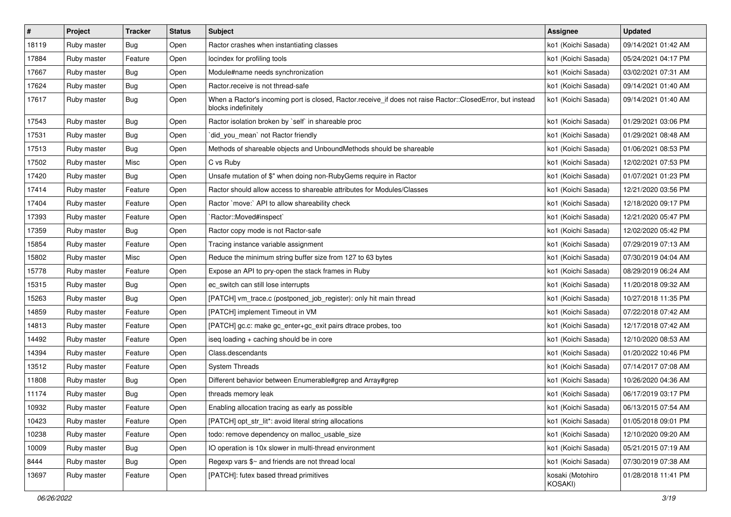| $\pmb{\#}$ | Project     | <b>Tracker</b> | <b>Status</b> | Subject                                                                                                                           | Assignee                    | <b>Updated</b>      |
|------------|-------------|----------------|---------------|-----------------------------------------------------------------------------------------------------------------------------------|-----------------------------|---------------------|
| 18119      | Ruby master | <b>Bug</b>     | Open          | Ractor crashes when instantiating classes                                                                                         | ko1 (Koichi Sasada)         | 09/14/2021 01:42 AM |
| 17884      | Ruby master | Feature        | Open          | locindex for profiling tools                                                                                                      | ko1 (Koichi Sasada)         | 05/24/2021 04:17 PM |
| 17667      | Ruby master | <b>Bug</b>     | Open          | Module#name needs synchronization                                                                                                 | ko1 (Koichi Sasada)         | 03/02/2021 07:31 AM |
| 17624      | Ruby master | <b>Bug</b>     | Open          | Ractor.receive is not thread-safe                                                                                                 | ko1 (Koichi Sasada)         | 09/14/2021 01:40 AM |
| 17617      | Ruby master | Bug            | Open          | When a Ractor's incoming port is closed, Ractor.receive_if does not raise Ractor::ClosedError, but instead<br>blocks indefinitely | ko1 (Koichi Sasada)         | 09/14/2021 01:40 AM |
| 17543      | Ruby master | <b>Bug</b>     | Open          | Ractor isolation broken by `self` in shareable proc                                                                               | ko1 (Koichi Sasada)         | 01/29/2021 03:06 PM |
| 17531      | Ruby master | Bug            | Open          | did_you_mean' not Ractor friendly                                                                                                 | ko1 (Koichi Sasada)         | 01/29/2021 08:48 AM |
| 17513      | Ruby master | <b>Bug</b>     | Open          | Methods of shareable objects and UnboundMethods should be shareable                                                               | ko1 (Koichi Sasada)         | 01/06/2021 08:53 PM |
| 17502      | Ruby master | Misc           | Open          | C vs Ruby                                                                                                                         | ko1 (Koichi Sasada)         | 12/02/2021 07:53 PM |
| 17420      | Ruby master | <b>Bug</b>     | Open          | Unsafe mutation of \$" when doing non-RubyGems require in Ractor                                                                  | ko1 (Koichi Sasada)         | 01/07/2021 01:23 PM |
| 17414      | Ruby master | Feature        | Open          | Ractor should allow access to shareable attributes for Modules/Classes                                                            | ko1 (Koichi Sasada)         | 12/21/2020 03:56 PM |
| 17404      | Ruby master | Feature        | Open          | Ractor `move:` API to allow shareability check                                                                                    | ko1 (Koichi Sasada)         | 12/18/2020 09:17 PM |
| 17393      | Ruby master | Feature        | Open          | `Ractor::Moved#inspect`                                                                                                           | ko1 (Koichi Sasada)         | 12/21/2020 05:47 PM |
| 17359      | Ruby master | <b>Bug</b>     | Open          | Ractor copy mode is not Ractor-safe                                                                                               | ko1 (Koichi Sasada)         | 12/02/2020 05:42 PM |
| 15854      | Ruby master | Feature        | Open          | Tracing instance variable assignment                                                                                              | ko1 (Koichi Sasada)         | 07/29/2019 07:13 AM |
| 15802      | Ruby master | Misc           | Open          | Reduce the minimum string buffer size from 127 to 63 bytes                                                                        | ko1 (Koichi Sasada)         | 07/30/2019 04:04 AM |
| 15778      | Ruby master | Feature        | Open          | Expose an API to pry-open the stack frames in Ruby                                                                                | ko1 (Koichi Sasada)         | 08/29/2019 06:24 AM |
| 15315      | Ruby master | Bug            | Open          | ec switch can still lose interrupts                                                                                               | ko1 (Koichi Sasada)         | 11/20/2018 09:32 AM |
| 15263      | Ruby master | <b>Bug</b>     | Open          | [PATCH] vm_trace.c (postponed_job_register): only hit main thread                                                                 | ko1 (Koichi Sasada)         | 10/27/2018 11:35 PM |
| 14859      | Ruby master | Feature        | Open          | [PATCH] implement Timeout in VM                                                                                                   | ko1 (Koichi Sasada)         | 07/22/2018 07:42 AM |
| 14813      | Ruby master | Feature        | Open          | [PATCH] gc.c: make gc_enter+gc_exit pairs dtrace probes, too                                                                      | ko1 (Koichi Sasada)         | 12/17/2018 07:42 AM |
| 14492      | Ruby master | Feature        | Open          | iseq loading + caching should be in core                                                                                          | ko1 (Koichi Sasada)         | 12/10/2020 08:53 AM |
| 14394      | Ruby master | Feature        | Open          | Class.descendants                                                                                                                 | ko1 (Koichi Sasada)         | 01/20/2022 10:46 PM |
| 13512      | Ruby master | Feature        | Open          | <b>System Threads</b>                                                                                                             | ko1 (Koichi Sasada)         | 07/14/2017 07:08 AM |
| 11808      | Ruby master | Bug            | Open          | Different behavior between Enumerable#grep and Array#grep                                                                         | ko1 (Koichi Sasada)         | 10/26/2020 04:36 AM |
| 11174      | Ruby master | Bug            | Open          | threads memory leak                                                                                                               | ko1 (Koichi Sasada)         | 06/17/2019 03:17 PM |
| 10932      | Ruby master | Feature        | Open          | Enabling allocation tracing as early as possible                                                                                  | ko1 (Koichi Sasada)         | 06/13/2015 07:54 AM |
| 10423      | Ruby master | Feature        | Open          | [PATCH] opt_str_lit*: avoid literal string allocations                                                                            | ko1 (Koichi Sasada)         | 01/05/2018 09:01 PM |
| 10238      | Ruby master | Feature        | Open          | todo: remove dependency on malloc usable size                                                                                     | ko1 (Koichi Sasada)         | 12/10/2020 09:20 AM |
| 10009      | Ruby master | <b>Bug</b>     | Open          | IO operation is 10x slower in multi-thread environment                                                                            | ko1 (Koichi Sasada)         | 05/21/2015 07:19 AM |
| 8444       | Ruby master | <b>Bug</b>     | Open          | Regexp vars $\frac{6}{5}$ and friends are not thread local                                                                        | ko1 (Koichi Sasada)         | 07/30/2019 07:38 AM |
| 13697      | Ruby master | Feature        | Open          | [PATCH]: futex based thread primitives                                                                                            | kosaki (Motohiro<br>KOSAKI) | 01/28/2018 11:41 PM |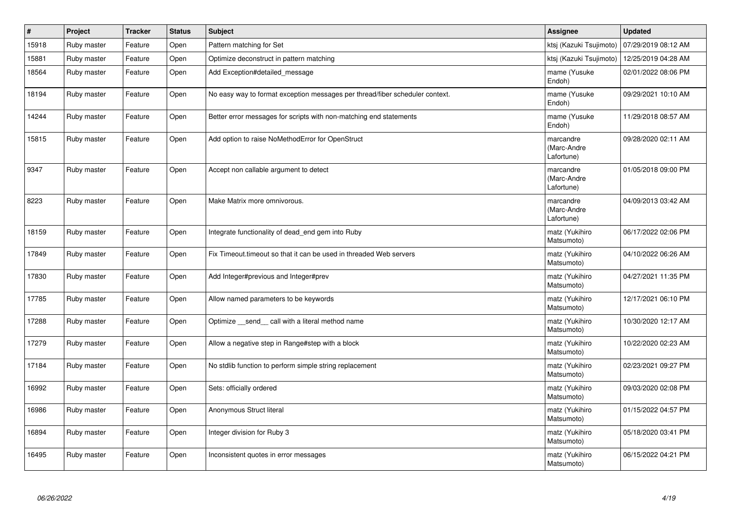| #     | Project     | <b>Tracker</b> | <b>Status</b> | <b>Subject</b>                                                               | <b>Assignee</b>                        | <b>Updated</b>      |
|-------|-------------|----------------|---------------|------------------------------------------------------------------------------|----------------------------------------|---------------------|
| 15918 | Ruby master | Feature        | Open          | Pattern matching for Set                                                     | ktsj (Kazuki Tsujimoto)                | 07/29/2019 08:12 AM |
| 15881 | Ruby master | Feature        | Open          | Optimize deconstruct in pattern matching                                     | ktsj (Kazuki Tsujimoto)                | 12/25/2019 04:28 AM |
| 18564 | Ruby master | Feature        | Open          | Add Exception#detailed message                                               | mame (Yusuke<br>Endoh)                 | 02/01/2022 08:06 PM |
| 18194 | Ruby master | Feature        | Open          | No easy way to format exception messages per thread/fiber scheduler context. | mame (Yusuke<br>Endoh)                 | 09/29/2021 10:10 AM |
| 14244 | Ruby master | Feature        | Open          | Better error messages for scripts with non-matching end statements           | mame (Yusuke<br>Endoh)                 | 11/29/2018 08:57 AM |
| 15815 | Ruby master | Feature        | Open          | Add option to raise NoMethodError for OpenStruct                             | marcandre<br>(Marc-Andre<br>Lafortune) | 09/28/2020 02:11 AM |
| 9347  | Ruby master | Feature        | Open          | Accept non callable argument to detect                                       | marcandre<br>(Marc-Andre<br>Lafortune) | 01/05/2018 09:00 PM |
| 8223  | Ruby master | Feature        | Open          | Make Matrix more omnivorous.                                                 | marcandre<br>(Marc-Andre<br>Lafortune) | 04/09/2013 03:42 AM |
| 18159 | Ruby master | Feature        | Open          | Integrate functionality of dead_end gem into Ruby                            | matz (Yukihiro<br>Matsumoto)           | 06/17/2022 02:06 PM |
| 17849 | Ruby master | Feature        | Open          | Fix Timeout timeout so that it can be used in threaded Web servers           | matz (Yukihiro<br>Matsumoto)           | 04/10/2022 06:26 AM |
| 17830 | Ruby master | Feature        | Open          | Add Integer#previous and Integer#prev                                        | matz (Yukihiro<br>Matsumoto)           | 04/27/2021 11:35 PM |
| 17785 | Ruby master | Feature        | Open          | Allow named parameters to be keywords                                        | matz (Yukihiro<br>Matsumoto)           | 12/17/2021 06:10 PM |
| 17288 | Ruby master | Feature        | Open          | Optimize _send_ call with a literal method name                              | matz (Yukihiro<br>Matsumoto)           | 10/30/2020 12:17 AM |
| 17279 | Ruby master | Feature        | Open          | Allow a negative step in Range#step with a block                             | matz (Yukihiro<br>Matsumoto)           | 10/22/2020 02:23 AM |
| 17184 | Ruby master | Feature        | Open          | No stdlib function to perform simple string replacement                      | matz (Yukihiro<br>Matsumoto)           | 02/23/2021 09:27 PM |
| 16992 | Ruby master | Feature        | Open          | Sets: officially ordered                                                     | matz (Yukihiro<br>Matsumoto)           | 09/03/2020 02:08 PM |
| 16986 | Ruby master | Feature        | Open          | Anonymous Struct literal                                                     | matz (Yukihiro<br>Matsumoto)           | 01/15/2022 04:57 PM |
| 16894 | Ruby master | Feature        | Open          | Integer division for Ruby 3                                                  | matz (Yukihiro<br>Matsumoto)           | 05/18/2020 03:41 PM |
| 16495 | Ruby master | Feature        | Open          | Inconsistent quotes in error messages                                        | matz (Yukihiro<br>Matsumoto)           | 06/15/2022 04:21 PM |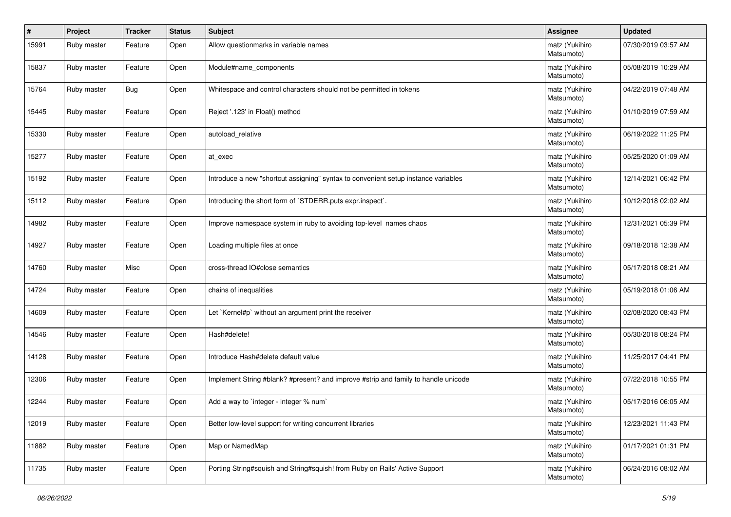| #     | Project     | <b>Tracker</b> | <b>Status</b> | Subject                                                                            | <b>Assignee</b>              | <b>Updated</b>      |
|-------|-------------|----------------|---------------|------------------------------------------------------------------------------------|------------------------------|---------------------|
| 15991 | Ruby master | Feature        | Open          | Allow questionmarks in variable names                                              | matz (Yukihiro<br>Matsumoto) | 07/30/2019 03:57 AM |
| 15837 | Ruby master | Feature        | Open          | Module#name_components                                                             | matz (Yukihiro<br>Matsumoto) | 05/08/2019 10:29 AM |
| 15764 | Ruby master | <b>Bug</b>     | Open          | Whitespace and control characters should not be permitted in tokens                | matz (Yukihiro<br>Matsumoto) | 04/22/2019 07:48 AM |
| 15445 | Ruby master | Feature        | Open          | Reject '.123' in Float() method                                                    | matz (Yukihiro<br>Matsumoto) | 01/10/2019 07:59 AM |
| 15330 | Ruby master | Feature        | Open          | autoload_relative                                                                  | matz (Yukihiro<br>Matsumoto) | 06/19/2022 11:25 PM |
| 15277 | Ruby master | Feature        | Open          | at exec                                                                            | matz (Yukihiro<br>Matsumoto) | 05/25/2020 01:09 AM |
| 15192 | Ruby master | Feature        | Open          | Introduce a new "shortcut assigning" syntax to convenient setup instance variables | matz (Yukihiro<br>Matsumoto) | 12/14/2021 06:42 PM |
| 15112 | Ruby master | Feature        | Open          | Introducing the short form of `STDERR.puts expr.inspect`.                          | matz (Yukihiro<br>Matsumoto) | 10/12/2018 02:02 AM |
| 14982 | Ruby master | Feature        | Open          | Improve namespace system in ruby to avoiding top-level names chaos                 | matz (Yukihiro<br>Matsumoto) | 12/31/2021 05:39 PM |
| 14927 | Ruby master | Feature        | Open          | Loading multiple files at once                                                     | matz (Yukihiro<br>Matsumoto) | 09/18/2018 12:38 AM |
| 14760 | Ruby master | Misc           | Open          | cross-thread IO#close semantics                                                    | matz (Yukihiro<br>Matsumoto) | 05/17/2018 08:21 AM |
| 14724 | Ruby master | Feature        | Open          | chains of inequalities                                                             | matz (Yukihiro<br>Matsumoto) | 05/19/2018 01:06 AM |
| 14609 | Ruby master | Feature        | Open          | Let `Kernel#p` without an argument print the receiver                              | matz (Yukihiro<br>Matsumoto) | 02/08/2020 08:43 PM |
| 14546 | Ruby master | Feature        | Open          | Hash#delete!                                                                       | matz (Yukihiro<br>Matsumoto) | 05/30/2018 08:24 PM |
| 14128 | Ruby master | Feature        | Open          | Introduce Hash#delete default value                                                | matz (Yukihiro<br>Matsumoto) | 11/25/2017 04:41 PM |
| 12306 | Ruby master | Feature        | Open          | Implement String #blank? #present? and improve #strip and family to handle unicode | matz (Yukihiro<br>Matsumoto) | 07/22/2018 10:55 PM |
| 12244 | Ruby master | Feature        | Open          | Add a way to 'integer - integer % num'                                             | matz (Yukihiro<br>Matsumoto) | 05/17/2016 06:05 AM |
| 12019 | Ruby master | Feature        | Open          | Better low-level support for writing concurrent libraries                          | matz (Yukihiro<br>Matsumoto) | 12/23/2021 11:43 PM |
| 11882 | Ruby master | Feature        | Open          | Map or NamedMap                                                                    | matz (Yukihiro<br>Matsumoto) | 01/17/2021 01:31 PM |
| 11735 | Ruby master | Feature        | Open          | Porting String#squish and String#squish! from Ruby on Rails' Active Support        | matz (Yukihiro<br>Matsumoto) | 06/24/2016 08:02 AM |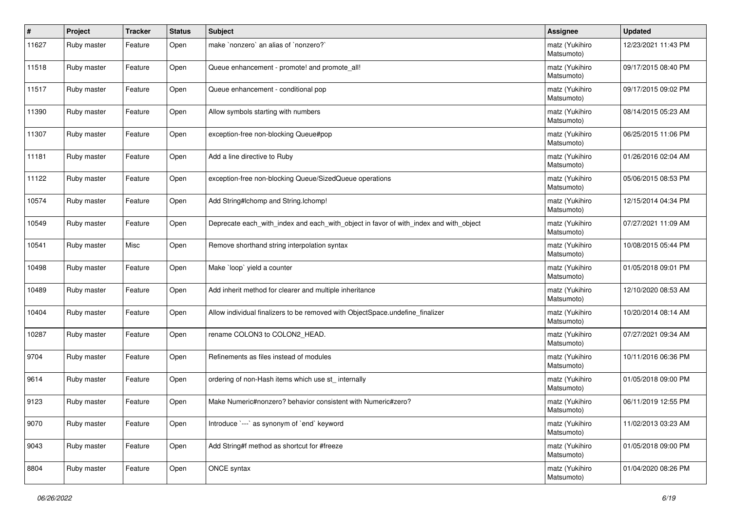| #     | Project     | <b>Tracker</b> | <b>Status</b> | <b>Subject</b>                                                                        | <b>Assignee</b>              | <b>Updated</b>      |
|-------|-------------|----------------|---------------|---------------------------------------------------------------------------------------|------------------------------|---------------------|
| 11627 | Ruby master | Feature        | Open          | make `nonzero` an alias of `nonzero?`                                                 | matz (Yukihiro<br>Matsumoto) | 12/23/2021 11:43 PM |
| 11518 | Ruby master | Feature        | Open          | Queue enhancement - promote! and promote_all!                                         | matz (Yukihiro<br>Matsumoto) | 09/17/2015 08:40 PM |
| 11517 | Ruby master | Feature        | Open          | Queue enhancement - conditional pop                                                   | matz (Yukihiro<br>Matsumoto) | 09/17/2015 09:02 PM |
| 11390 | Ruby master | Feature        | Open          | Allow symbols starting with numbers                                                   | matz (Yukihiro<br>Matsumoto) | 08/14/2015 05:23 AM |
| 11307 | Ruby master | Feature        | Open          | exception-free non-blocking Queue#pop                                                 | matz (Yukihiro<br>Matsumoto) | 06/25/2015 11:06 PM |
| 11181 | Ruby master | Feature        | Open          | Add a line directive to Ruby                                                          | matz (Yukihiro<br>Matsumoto) | 01/26/2016 02:04 AM |
| 11122 | Ruby master | Feature        | Open          | exception-free non-blocking Queue/SizedQueue operations                               | matz (Yukihiro<br>Matsumoto) | 05/06/2015 08:53 PM |
| 10574 | Ruby master | Feature        | Open          | Add String#Ichomp and String.Ichomp!                                                  | matz (Yukihiro<br>Matsumoto) | 12/15/2014 04:34 PM |
| 10549 | Ruby master | Feature        | Open          | Deprecate each_with_index and each_with_object in favor of with_index and with_object | matz (Yukihiro<br>Matsumoto) | 07/27/2021 11:09 AM |
| 10541 | Ruby master | Misc           | Open          | Remove shorthand string interpolation syntax                                          | matz (Yukihiro<br>Matsumoto) | 10/08/2015 05:44 PM |
| 10498 | Ruby master | Feature        | Open          | Make 'loop' yield a counter                                                           | matz (Yukihiro<br>Matsumoto) | 01/05/2018 09:01 PM |
| 10489 | Ruby master | Feature        | Open          | Add inherit method for clearer and multiple inheritance                               | matz (Yukihiro<br>Matsumoto) | 12/10/2020 08:53 AM |
| 10404 | Ruby master | Feature        | Open          | Allow individual finalizers to be removed with ObjectSpace.undefine_finalizer         | matz (Yukihiro<br>Matsumoto) | 10/20/2014 08:14 AM |
| 10287 | Ruby master | Feature        | Open          | rename COLON3 to COLON2_HEAD.                                                         | matz (Yukihiro<br>Matsumoto) | 07/27/2021 09:34 AM |
| 9704  | Ruby master | Feature        | Open          | Refinements as files instead of modules                                               | matz (Yukihiro<br>Matsumoto) | 10/11/2016 06:36 PM |
| 9614  | Ruby master | Feature        | Open          | ordering of non-Hash items which use st_ internally                                   | matz (Yukihiro<br>Matsumoto) | 01/05/2018 09:00 PM |
| 9123  | Ruby master | Feature        | Open          | Make Numeric#nonzero? behavior consistent with Numeric#zero?                          | matz (Yukihiro<br>Matsumoto) | 06/11/2019 12:55 PM |
| 9070  | Ruby master | Feature        | Open          | Introduce `---` as synonym of `end` keyword                                           | matz (Yukihiro<br>Matsumoto) | 11/02/2013 03:23 AM |
| 9043  | Ruby master | Feature        | Open          | Add String#f method as shortcut for #freeze                                           | matz (Yukihiro<br>Matsumoto) | 01/05/2018 09:00 PM |
| 8804  | Ruby master | Feature        | Open          | ONCE syntax                                                                           | matz (Yukihiro<br>Matsumoto) | 01/04/2020 08:26 PM |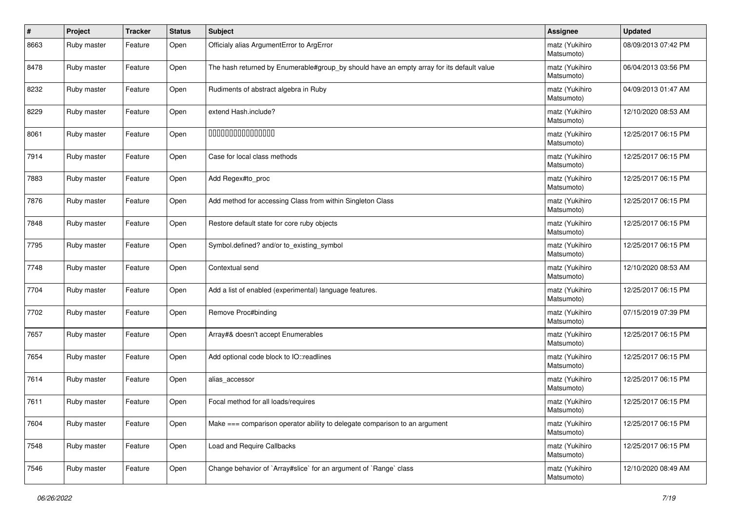| #    | Project     | Tracker | <b>Status</b> | <b>Subject</b>                                                                            | <b>Assignee</b>              | <b>Updated</b>      |
|------|-------------|---------|---------------|-------------------------------------------------------------------------------------------|------------------------------|---------------------|
| 8663 | Ruby master | Feature | Open          | Officialy alias ArgumentError to ArgError                                                 | matz (Yukihiro<br>Matsumoto) | 08/09/2013 07:42 PM |
| 8478 | Ruby master | Feature | Open          | The hash returned by Enumerable#group_by should have an empty array for its default value | matz (Yukihiro<br>Matsumoto) | 06/04/2013 03:56 PM |
| 8232 | Ruby master | Feature | Open          | Rudiments of abstract algebra in Ruby                                                     | matz (Yukihiro<br>Matsumoto) | 04/09/2013 01:47 AM |
| 8229 | Ruby master | Feature | Open          | extend Hash.include?                                                                      | matz (Yukihiro<br>Matsumoto) | 12/10/2020 08:53 AM |
| 8061 | Ruby master | Feature | Open          | 000000000000000                                                                           | matz (Yukihiro<br>Matsumoto) | 12/25/2017 06:15 PM |
| 7914 | Ruby master | Feature | Open          | Case for local class methods                                                              | matz (Yukihiro<br>Matsumoto) | 12/25/2017 06:15 PM |
| 7883 | Ruby master | Feature | Open          | Add Regex#to_proc                                                                         | matz (Yukihiro<br>Matsumoto) | 12/25/2017 06:15 PM |
| 7876 | Ruby master | Feature | Open          | Add method for accessing Class from within Singleton Class                                | matz (Yukihiro<br>Matsumoto) | 12/25/2017 06:15 PM |
| 7848 | Ruby master | Feature | Open          | Restore default state for core ruby objects                                               | matz (Yukihiro<br>Matsumoto) | 12/25/2017 06:15 PM |
| 7795 | Ruby master | Feature | Open          | Symbol.defined? and/or to_existing_symbol                                                 | matz (Yukihiro<br>Matsumoto) | 12/25/2017 06:15 PM |
| 7748 | Ruby master | Feature | Open          | Contextual send                                                                           | matz (Yukihiro<br>Matsumoto) | 12/10/2020 08:53 AM |
| 7704 | Ruby master | Feature | Open          | Add a list of enabled (experimental) language features.                                   | matz (Yukihiro<br>Matsumoto) | 12/25/2017 06:15 PM |
| 7702 | Ruby master | Feature | Open          | Remove Proc#binding                                                                       | matz (Yukihiro<br>Matsumoto) | 07/15/2019 07:39 PM |
| 7657 | Ruby master | Feature | Open          | Array#& doesn't accept Enumerables                                                        | matz (Yukihiro<br>Matsumoto) | 12/25/2017 06:15 PM |
| 7654 | Ruby master | Feature | Open          | Add optional code block to IO::readlines                                                  | matz (Yukihiro<br>Matsumoto) | 12/25/2017 06:15 PM |
| 7614 | Ruby master | Feature | Open          | alias_accessor                                                                            | matz (Yukihiro<br>Matsumoto) | 12/25/2017 06:15 PM |
| 7611 | Ruby master | Feature | Open          | Focal method for all loads/requires                                                       | matz (Yukihiro<br>Matsumoto) | 12/25/2017 06:15 PM |
| 7604 | Ruby master | Feature | Open          | Make === comparison operator ability to delegate comparison to an argument                | matz (Yukihiro<br>Matsumoto) | 12/25/2017 06:15 PM |
| 7548 | Ruby master | Feature | Open          | Load and Require Callbacks                                                                | matz (Yukihiro<br>Matsumoto) | 12/25/2017 06:15 PM |
| 7546 | Ruby master | Feature | Open          | Change behavior of `Array#slice` for an argument of `Range` class                         | matz (Yukihiro<br>Matsumoto) | 12/10/2020 08:49 AM |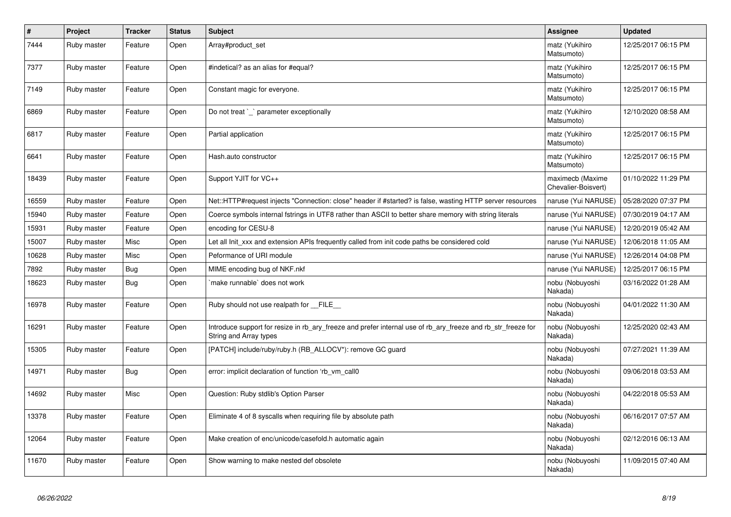| $\vert$ # | Project     | <b>Tracker</b> | <b>Status</b> | <b>Subject</b>                                                                                                                         | Assignee                                | <b>Updated</b>      |
|-----------|-------------|----------------|---------------|----------------------------------------------------------------------------------------------------------------------------------------|-----------------------------------------|---------------------|
| 7444      | Ruby master | Feature        | Open          | Array#product set                                                                                                                      | matz (Yukihiro<br>Matsumoto)            | 12/25/2017 06:15 PM |
| 7377      | Ruby master | Feature        | Open          | #indetical? as an alias for #equal?                                                                                                    | matz (Yukihiro<br>Matsumoto)            | 12/25/2017 06:15 PM |
| 7149      | Ruby master | Feature        | Open          | Constant magic for everyone.                                                                                                           | matz (Yukihiro<br>Matsumoto)            | 12/25/2017 06:15 PM |
| 6869      | Ruby master | Feature        | Open          | Do not treat `_` parameter exceptionally                                                                                               | matz (Yukihiro<br>Matsumoto)            | 12/10/2020 08:58 AM |
| 6817      | Ruby master | Feature        | Open          | Partial application                                                                                                                    | matz (Yukihiro<br>Matsumoto)            | 12/25/2017 06:15 PM |
| 6641      | Ruby master | Feature        | Open          | Hash.auto constructor                                                                                                                  | matz (Yukihiro<br>Matsumoto)            | 12/25/2017 06:15 PM |
| 18439     | Ruby master | Feature        | Open          | Support YJIT for VC++                                                                                                                  | maximecb (Maxime<br>Chevalier-Boisvert) | 01/10/2022 11:29 PM |
| 16559     | Ruby master | Feature        | Open          | Net::HTTP#request injects "Connection: close" header if #started? is false, wasting HTTP server resources                              | naruse (Yui NARUSE)                     | 05/28/2020 07:37 PM |
| 15940     | Ruby master | Feature        | Open          | Coerce symbols internal fstrings in UTF8 rather than ASCII to better share memory with string literals                                 | naruse (Yui NARUSE)                     | 07/30/2019 04:17 AM |
| 15931     | Ruby master | Feature        | Open          | encoding for CESU-8                                                                                                                    | naruse (Yui NARUSE)                     | 12/20/2019 05:42 AM |
| 15007     | Ruby master | Misc           | Open          | Let all Init_xxx and extension APIs frequently called from init code paths be considered cold                                          | naruse (Yui NARUSE)                     | 12/06/2018 11:05 AM |
| 10628     | Ruby master | Misc           | Open          | Peformance of URI module                                                                                                               | naruse (Yui NARUSE)                     | 12/26/2014 04:08 PM |
| 7892      | Ruby master | <b>Bug</b>     | Open          | MIME encoding bug of NKF.nkf                                                                                                           | naruse (Yui NARUSE)                     | 12/25/2017 06:15 PM |
| 18623     | Ruby master | <b>Bug</b>     | Open          | make runnable' does not work                                                                                                           | nobu (Nobuyoshi<br>Nakada)              | 03/16/2022 01:28 AM |
| 16978     | Ruby master | Feature        | Open          | Ruby should not use realpath for __FILE__                                                                                              | nobu (Nobuyoshi<br>Nakada)              | 04/01/2022 11:30 AM |
| 16291     | Ruby master | Feature        | Open          | Introduce support for resize in rb ary freeze and prefer internal use of rb ary freeze and rb str freeze for<br>String and Array types | nobu (Nobuyoshi<br>Nakada)              | 12/25/2020 02:43 AM |
| 15305     | Ruby master | Feature        | Open          | [PATCH] include/ruby/ruby.h (RB_ALLOCV*): remove GC guard                                                                              | nobu (Nobuyoshi<br>Nakada)              | 07/27/2021 11:39 AM |
| 14971     | Ruby master | Bug            | Open          | error: implicit declaration of function 'rb_vm_call0                                                                                   | nobu (Nobuyoshi<br>Nakada)              | 09/06/2018 03:53 AM |
| 14692     | Ruby master | Misc           | Open          | Question: Ruby stdlib's Option Parser                                                                                                  | nobu (Nobuyoshi<br>Nakada)              | 04/22/2018 05:53 AM |
| 13378     | Ruby master | Feature        | Open          | Eliminate 4 of 8 syscalls when requiring file by absolute path                                                                         | nobu (Nobuyoshi<br>Nakada)              | 06/16/2017 07:57 AM |
| 12064     | Ruby master | Feature        | Open          | Make creation of enc/unicode/casefold.h automatic again                                                                                | nobu (Nobuyoshi<br>Nakada)              | 02/12/2016 06:13 AM |
| 11670     | Ruby master | Feature        | Open          | Show warning to make nested def obsolete                                                                                               | nobu (Nobuyoshi<br>Nakada)              | 11/09/2015 07:40 AM |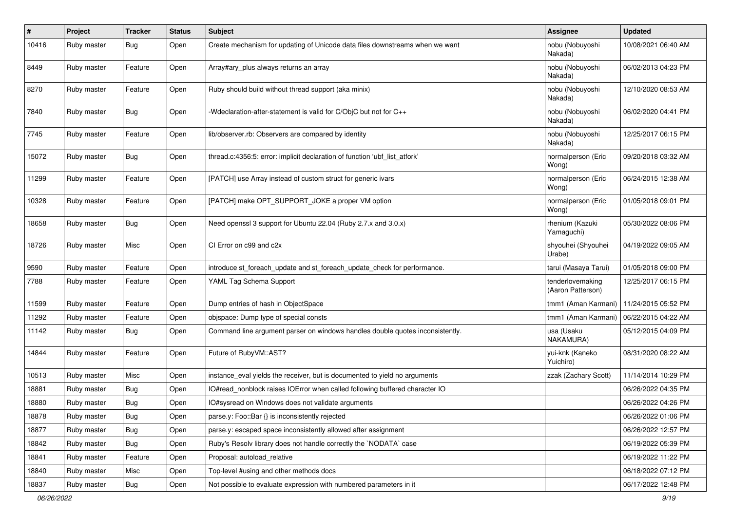| $\#$  | Project     | <b>Tracker</b> | <b>Status</b> | Subject                                                                       | <b>Assignee</b>                       | <b>Updated</b>      |
|-------|-------------|----------------|---------------|-------------------------------------------------------------------------------|---------------------------------------|---------------------|
| 10416 | Ruby master | Bug            | Open          | Create mechanism for updating of Unicode data files downstreams when we want  | nobu (Nobuyoshi<br>Nakada)            | 10/08/2021 06:40 AM |
| 8449  | Ruby master | Feature        | Open          | Array#ary_plus always returns an array                                        | nobu (Nobuyoshi<br>Nakada)            | 06/02/2013 04:23 PM |
| 8270  | Ruby master | Feature        | Open          | Ruby should build without thread support (aka minix)                          | nobu (Nobuyoshi<br>Nakada)            | 12/10/2020 08:53 AM |
| 7840  | Ruby master | Bug            | Open          | -Wdeclaration-after-statement is valid for C/ObjC but not for C++             | nobu (Nobuyoshi<br>Nakada)            | 06/02/2020 04:41 PM |
| 7745  | Ruby master | Feature        | Open          | lib/observer.rb: Observers are compared by identity                           | nobu (Nobuyoshi<br>Nakada)            | 12/25/2017 06:15 PM |
| 15072 | Ruby master | Bug            | Open          | thread.c:4356:5: error: implicit declaration of function 'ubf_list_atfork'    | normalperson (Eric<br>Wong)           | 09/20/2018 03:32 AM |
| 11299 | Ruby master | Feature        | Open          | [PATCH] use Array instead of custom struct for generic ivars                  | normalperson (Eric<br>Wong)           | 06/24/2015 12:38 AM |
| 10328 | Ruby master | Feature        | Open          | [PATCH] make OPT_SUPPORT_JOKE a proper VM option                              | normalperson (Eric<br>Wong)           | 01/05/2018 09:01 PM |
| 18658 | Ruby master | Bug            | Open          | Need openssl 3 support for Ubuntu 22.04 (Ruby 2.7.x and 3.0.x)                | rhenium (Kazuki<br>Yamaguchi)         | 05/30/2022 08:06 PM |
| 18726 | Ruby master | Misc           | Open          | CI Error on c99 and c2x                                                       | shyouhei (Shyouhei<br>Urabe)          | 04/19/2022 09:05 AM |
| 9590  | Ruby master | Feature        | Open          | introduce st_foreach_update and st_foreach_update_check for performance.      | tarui (Masaya Tarui)                  | 01/05/2018 09:00 PM |
| 7788  | Ruby master | Feature        | Open          | YAML Tag Schema Support                                                       | tenderlovemaking<br>(Aaron Patterson) | 12/25/2017 06:15 PM |
| 11599 | Ruby master | Feature        | Open          | Dump entries of hash in ObjectSpace                                           | tmm1 (Aman Karmani)                   | 11/24/2015 05:52 PM |
| 11292 | Ruby master | Feature        | Open          | objspace: Dump type of special consts                                         | tmm1 (Aman Karmani)                   | 06/22/2015 04:22 AM |
| 11142 | Ruby master | Bug            | Open          | Command line argument parser on windows handles double quotes inconsistently. | usa (Usaku<br>NAKAMURA)               | 05/12/2015 04:09 PM |
| 14844 | Ruby master | Feature        | Open          | Future of RubyVM::AST?                                                        | yui-knk (Kaneko<br>Yuichiro)          | 08/31/2020 08:22 AM |
| 10513 | Ruby master | Misc           | Open          | instance_eval yields the receiver, but is documented to yield no arguments    | zzak (Zachary Scott)                  | 11/14/2014 10:29 PM |
| 18881 | Ruby master | Bug            | Open          | IO#read_nonblock raises IOError when called following buffered character IO   |                                       | 06/26/2022 04:35 PM |
| 18880 | Ruby master | Bug            | Open          | IO#sysread on Windows does not validate arguments                             |                                       | 06/26/2022 04:26 PM |
| 18878 | Ruby master | Bug            | Open          | parse.y: Foo::Bar {} is inconsistently rejected                               |                                       | 06/26/2022 01:06 PM |
| 18877 | Ruby master | <b>Bug</b>     | Open          | parse.y: escaped space inconsistently allowed after assignment                |                                       | 06/26/2022 12:57 PM |
| 18842 | Ruby master | Bug            | Open          | Ruby's Resolv library does not handle correctly the `NODATA` case             |                                       | 06/19/2022 05:39 PM |
| 18841 | Ruby master | Feature        | Open          | Proposal: autoload relative                                                   |                                       | 06/19/2022 11:22 PM |
| 18840 | Ruby master | Misc           | Open          | Top-level #using and other methods docs                                       |                                       | 06/18/2022 07:12 PM |
| 18837 | Ruby master | Bug            | Open          | Not possible to evaluate expression with numbered parameters in it            |                                       | 06/17/2022 12:48 PM |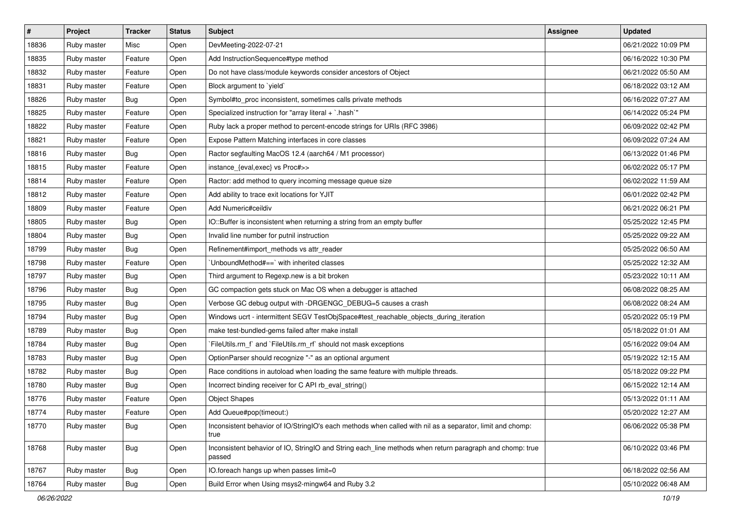| $\vert$ # | Project     | <b>Tracker</b> | <b>Status</b> | Subject                                                                                                            | <b>Assignee</b> | <b>Updated</b>      |
|-----------|-------------|----------------|---------------|--------------------------------------------------------------------------------------------------------------------|-----------------|---------------------|
| 18836     | Ruby master | Misc           | Open          | DevMeeting-2022-07-21                                                                                              |                 | 06/21/2022 10:09 PM |
| 18835     | Ruby master | Feature        | Open          | Add InstructionSequence#type method                                                                                |                 | 06/16/2022 10:30 PM |
| 18832     | Ruby master | Feature        | Open          | Do not have class/module keywords consider ancestors of Object                                                     |                 | 06/21/2022 05:50 AM |
| 18831     | Ruby master | Feature        | Open          | Block argument to 'yield'                                                                                          |                 | 06/18/2022 03:12 AM |
| 18826     | Ruby master | <b>Bug</b>     | Open          | Symbol#to_proc inconsistent, sometimes calls private methods                                                       |                 | 06/16/2022 07:27 AM |
| 18825     | Ruby master | Feature        | Open          | Specialized instruction for "array literal + `.hash`"                                                              |                 | 06/14/2022 05:24 PM |
| 18822     | Ruby master | Feature        | Open          | Ruby lack a proper method to percent-encode strings for URIs (RFC 3986)                                            |                 | 06/09/2022 02:42 PM |
| 18821     | Ruby master | Feature        | Open          | Expose Pattern Matching interfaces in core classes                                                                 |                 | 06/09/2022 07:24 AM |
| 18816     | Ruby master | Bug            | Open          | Ractor segfaulting MacOS 12.4 (aarch64 / M1 processor)                                                             |                 | 06/13/2022 01:46 PM |
| 18815     | Ruby master | Feature        | Open          | instance_{eval,exec} vs Proc#>>                                                                                    |                 | 06/02/2022 05:17 PM |
| 18814     | Ruby master | Feature        | Open          | Ractor: add method to query incoming message queue size                                                            |                 | 06/02/2022 11:59 AM |
| 18812     | Ruby master | Feature        | Open          | Add ability to trace exit locations for YJIT                                                                       |                 | 06/01/2022 02:42 PM |
| 18809     | Ruby master | Feature        | Open          | Add Numeric#ceildiv                                                                                                |                 | 06/21/2022 06:21 PM |
| 18805     | Ruby master | <b>Bug</b>     | Open          | IO::Buffer is inconsistent when returning a string from an empty buffer                                            |                 | 05/25/2022 12:45 PM |
| 18804     | Ruby master | <b>Bug</b>     | Open          | Invalid line number for putnil instruction                                                                         |                 | 05/25/2022 09:22 AM |
| 18799     | Ruby master | <b>Bug</b>     | Open          | Refinement#import_methods vs attr_reader                                                                           |                 | 05/25/2022 06:50 AM |
| 18798     | Ruby master | Feature        | Open          | UnboundMethod#==`with inherited classes                                                                            |                 | 05/25/2022 12:32 AM |
| 18797     | Ruby master | Bug            | Open          | Third argument to Regexp.new is a bit broken                                                                       |                 | 05/23/2022 10:11 AM |
| 18796     | Ruby master | <b>Bug</b>     | Open          | GC compaction gets stuck on Mac OS when a debugger is attached                                                     |                 | 06/08/2022 08:25 AM |
| 18795     | Ruby master | <b>Bug</b>     | Open          | Verbose GC debug output with -DRGENGC_DEBUG=5 causes a crash                                                       |                 | 06/08/2022 08:24 AM |
| 18794     | Ruby master | <b>Bug</b>     | Open          | Windows ucrt - intermittent SEGV TestObjSpace#test_reachable_objects_during_iteration                              |                 | 05/20/2022 05:19 PM |
| 18789     | Ruby master | <b>Bug</b>     | Open          | make test-bundled-gems failed after make install                                                                   |                 | 05/18/2022 01:01 AM |
| 18784     | Ruby master | Bug            | Open          | FileUtils.rm_f` and `FileUtils.rm_rf` should not mask exceptions                                                   |                 | 05/16/2022 09:04 AM |
| 18783     | Ruby master | Bug            | Open          | OptionParser should recognize "-" as an optional argument                                                          |                 | 05/19/2022 12:15 AM |
| 18782     | Ruby master | Bug            | Open          | Race conditions in autoload when loading the same feature with multiple threads.                                   |                 | 05/18/2022 09:22 PM |
| 18780     | Ruby master | <b>Bug</b>     | Open          | Incorrect binding receiver for C API rb_eval_string()                                                              |                 | 06/15/2022 12:14 AM |
| 18776     | Ruby master | Feature        | Open          | <b>Object Shapes</b>                                                                                               |                 | 05/13/2022 01:11 AM |
| 18774     | Ruby master | Feature        | Open          | Add Queue#pop(timeout:)                                                                                            |                 | 05/20/2022 12:27 AM |
| 18770     | Ruby master | Bug            | Open          | Inconsistent behavior of IO/StringIO's each methods when called with nil as a separator, limit and chomp:<br>true  |                 | 06/06/2022 05:38 PM |
| 18768     | Ruby master | <b>Bug</b>     | Open          | Inconsistent behavior of IO, StringIO and String each_line methods when return paragraph and chomp: true<br>passed |                 | 06/10/2022 03:46 PM |
| 18767     | Ruby master | <b>Bug</b>     | Open          | IO.foreach hangs up when passes limit=0                                                                            |                 | 06/18/2022 02:56 AM |
| 18764     | Ruby master | Bug            | Open          | Build Error when Using msys2-mingw64 and Ruby 3.2                                                                  |                 | 05/10/2022 06:48 AM |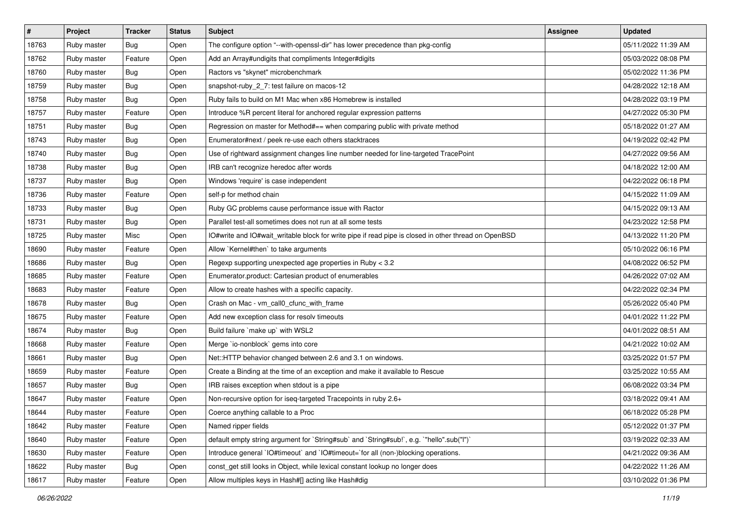| $\vert$ # | Project     | <b>Tracker</b> | <b>Status</b> | <b>Subject</b>                                                                                       | <b>Assignee</b> | <b>Updated</b>      |
|-----------|-------------|----------------|---------------|------------------------------------------------------------------------------------------------------|-----------------|---------------------|
| 18763     | Ruby master | <b>Bug</b>     | Open          | The configure option "--with-openssl-dir" has lower precedence than pkg-config                       |                 | 05/11/2022 11:39 AM |
| 18762     | Ruby master | Feature        | Open          | Add an Array#undigits that compliments Integer#digits                                                |                 | 05/03/2022 08:08 PM |
| 18760     | Ruby master | <b>Bug</b>     | Open          | Ractors vs "skynet" microbenchmark                                                                   |                 | 05/02/2022 11:36 PM |
| 18759     | Ruby master | <b>Bug</b>     | Open          | snapshot-ruby_2_7: test failure on macos-12                                                          |                 | 04/28/2022 12:18 AM |
| 18758     | Ruby master | Bug            | Open          | Ruby fails to build on M1 Mac when x86 Homebrew is installed                                         |                 | 04/28/2022 03:19 PM |
| 18757     | Ruby master | Feature        | Open          | Introduce %R percent literal for anchored regular expression patterns                                |                 | 04/27/2022 05:30 PM |
| 18751     | Ruby master | <b>Bug</b>     | Open          | Regression on master for Method#== when comparing public with private method                         |                 | 05/18/2022 01:27 AM |
| 18743     | Ruby master | Bug            | Open          | Enumerator#next / peek re-use each others stacktraces                                                |                 | 04/19/2022 02:42 PM |
| 18740     | Ruby master | <b>Bug</b>     | Open          | Use of rightward assignment changes line number needed for line-targeted TracePoint                  |                 | 04/27/2022 09:56 AM |
| 18738     | Ruby master | Bug            | Open          | IRB can't recognize heredoc after words                                                              |                 | 04/18/2022 12:00 AM |
| 18737     | Ruby master | <b>Bug</b>     | Open          | Windows 'require' is case independent                                                                |                 | 04/22/2022 06:18 PM |
| 18736     | Ruby master | Feature        | Open          | self-p for method chain                                                                              |                 | 04/15/2022 11:09 AM |
| 18733     | Ruby master | <b>Bug</b>     | Open          | Ruby GC problems cause performance issue with Ractor                                                 |                 | 04/15/2022 09:13 AM |
| 18731     | Ruby master | <b>Bug</b>     | Open          | Parallel test-all sometimes does not run at all some tests                                           |                 | 04/23/2022 12:58 PM |
| 18725     | Ruby master | Misc           | Open          | IO#write and IO#wait_writable block for write pipe if read pipe is closed in other thread on OpenBSD |                 | 04/13/2022 11:20 PM |
| 18690     | Ruby master | Feature        | Open          | Allow `Kernel#then` to take arguments                                                                |                 | 05/10/2022 06:16 PM |
| 18686     | Ruby master | Bug            | Open          | Regexp supporting unexpected age properties in Ruby < 3.2                                            |                 | 04/08/2022 06:52 PM |
| 18685     | Ruby master | Feature        | Open          | Enumerator.product: Cartesian product of enumerables                                                 |                 | 04/26/2022 07:02 AM |
| 18683     | Ruby master | Feature        | Open          | Allow to create hashes with a specific capacity.                                                     |                 | 04/22/2022 02:34 PM |
| 18678     | Ruby master | <b>Bug</b>     | Open          | Crash on Mac - vm_call0_cfunc_with_frame                                                             |                 | 05/26/2022 05:40 PM |
| 18675     | Ruby master | Feature        | Open          | Add new exception class for resolv timeouts                                                          |                 | 04/01/2022 11:22 PM |
| 18674     | Ruby master | Bug            | Open          | Build failure `make up` with WSL2                                                                    |                 | 04/01/2022 08:51 AM |
| 18668     | Ruby master | Feature        | Open          | Merge `io-nonblock` gems into core                                                                   |                 | 04/21/2022 10:02 AM |
| 18661     | Ruby master | Bug            | Open          | Net::HTTP behavior changed between 2.6 and 3.1 on windows.                                           |                 | 03/25/2022 01:57 PM |
| 18659     | Ruby master | Feature        | Open          | Create a Binding at the time of an exception and make it available to Rescue                         |                 | 03/25/2022 10:55 AM |
| 18657     | Ruby master | <b>Bug</b>     | Open          | IRB raises exception when stdout is a pipe                                                           |                 | 06/08/2022 03:34 PM |
| 18647     | Ruby master | Feature        | Open          | Non-recursive option for iseq-targeted Tracepoints in ruby 2.6+                                      |                 | 03/18/2022 09:41 AM |
| 18644     | Ruby master | Feature        | Open          | Coerce anything callable to a Proc                                                                   |                 | 06/18/2022 05:28 PM |
| 18642     | Ruby master | Feature        | Open          | Named ripper fields                                                                                  |                 | 05/12/2022 01:37 PM |
| 18640     | Ruby master | Feature        | Open          | default empty string argument for `String#sub` and `String#sub!`, e.g. `"hello".sub("I")`            |                 | 03/19/2022 02:33 AM |
| 18630     | Ruby master | Feature        | Open          | Introduce general `IO#timeout` and `IO#timeout=`for all (non-)blocking operations.                   |                 | 04/21/2022 09:36 AM |
| 18622     | Ruby master | <b>Bug</b>     | Open          | const_get still looks in Object, while lexical constant lookup no longer does                        |                 | 04/22/2022 11:26 AM |
| 18617     | Ruby master | Feature        | Open          | Allow multiples keys in Hash#[] acting like Hash#dig                                                 |                 | 03/10/2022 01:36 PM |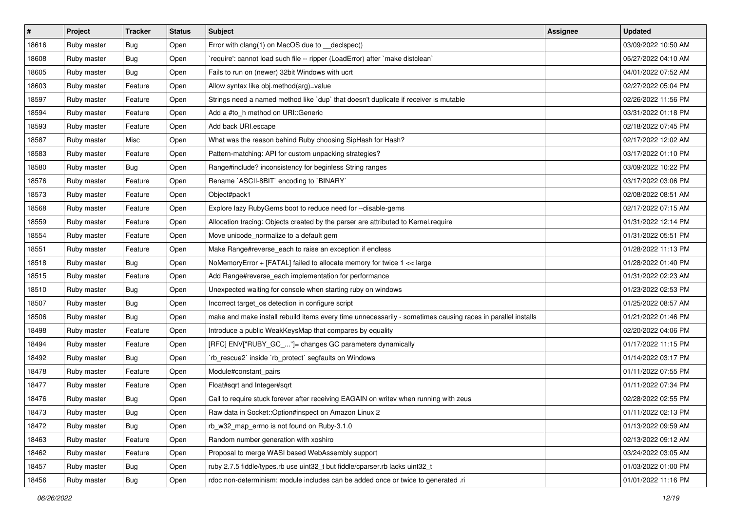| #     | Project     | <b>Tracker</b> | <b>Status</b> | Subject                                                                                                     | <b>Assignee</b> | <b>Updated</b>      |
|-------|-------------|----------------|---------------|-------------------------------------------------------------------------------------------------------------|-----------------|---------------------|
| 18616 | Ruby master | Bug            | Open          | Error with clang(1) on MacOS due to _declspec()                                                             |                 | 03/09/2022 10:50 AM |
| 18608 | Ruby master | Bug            | Open          | `require': cannot load such file -- ripper (LoadError) after `make distclean`                               |                 | 05/27/2022 04:10 AM |
| 18605 | Ruby master | <b>Bug</b>     | Open          | Fails to run on (newer) 32bit Windows with ucrt                                                             |                 | 04/01/2022 07:52 AM |
| 18603 | Ruby master | Feature        | Open          | Allow syntax like obj.method(arg)=value                                                                     |                 | 02/27/2022 05:04 PM |
| 18597 | Ruby master | Feature        | Open          | Strings need a named method like 'dup' that doesn't duplicate if receiver is mutable                        |                 | 02/26/2022 11:56 PM |
| 18594 | Ruby master | Feature        | Open          | Add a #to_h method on URI::Generic                                                                          |                 | 03/31/2022 01:18 PM |
| 18593 | Ruby master | Feature        | Open          | Add back URI.escape                                                                                         |                 | 02/18/2022 07:45 PM |
| 18587 | Ruby master | Misc           | Open          | What was the reason behind Ruby choosing SipHash for Hash?                                                  |                 | 02/17/2022 12:02 AM |
| 18583 | Ruby master | Feature        | Open          | Pattern-matching: API for custom unpacking strategies?                                                      |                 | 03/17/2022 01:10 PM |
| 18580 | Ruby master | Bug            | Open          | Range#include? inconsistency for beginless String ranges                                                    |                 | 03/09/2022 10:22 PM |
| 18576 | Ruby master | Feature        | Open          | Rename `ASCII-8BIT` encoding to `BINARY`                                                                    |                 | 03/17/2022 03:06 PM |
| 18573 | Ruby master | Feature        | Open          | Object#pack1                                                                                                |                 | 02/08/2022 08:51 AM |
| 18568 | Ruby master | Feature        | Open          | Explore lazy RubyGems boot to reduce need for --disable-gems                                                |                 | 02/17/2022 07:15 AM |
| 18559 | Ruby master | Feature        | Open          | Allocation tracing: Objects created by the parser are attributed to Kernel.require                          |                 | 01/31/2022 12:14 PM |
| 18554 | Ruby master | Feature        | Open          | Move unicode_normalize to a default gem                                                                     |                 | 01/31/2022 05:51 PM |
| 18551 | Ruby master | Feature        | Open          | Make Range#reverse_each to raise an exception if endless                                                    |                 | 01/28/2022 11:13 PM |
| 18518 | Ruby master | Bug            | Open          | NoMemoryError + [FATAL] failed to allocate memory for twice 1 << large                                      |                 | 01/28/2022 01:40 PM |
| 18515 | Ruby master | Feature        | Open          | Add Range#reverse_each implementation for performance                                                       |                 | 01/31/2022 02:23 AM |
| 18510 | Ruby master | <b>Bug</b>     | Open          | Unexpected waiting for console when starting ruby on windows                                                |                 | 01/23/2022 02:53 PM |
| 18507 | Ruby master | <b>Bug</b>     | Open          | Incorrect target_os detection in configure script                                                           |                 | 01/25/2022 08:57 AM |
| 18506 | Ruby master | Bug            | Open          | make and make install rebuild items every time unnecessarily - sometimes causing races in parallel installs |                 | 01/21/2022 01:46 PM |
| 18498 | Ruby master | Feature        | Open          | Introduce a public WeakKeysMap that compares by equality                                                    |                 | 02/20/2022 04:06 PM |
| 18494 | Ruby master | Feature        | Open          | [RFC] ENV["RUBY_GC_"]= changes GC parameters dynamically                                                    |                 | 01/17/2022 11:15 PM |
| 18492 | Ruby master | Bug            | Open          | `rb_rescue2` inside `rb_protect` segfaults on Windows                                                       |                 | 01/14/2022 03:17 PM |
| 18478 | Ruby master | Feature        | Open          | Module#constant_pairs                                                                                       |                 | 01/11/2022 07:55 PM |
| 18477 | Ruby master | Feature        | Open          | Float#sqrt and Integer#sqrt                                                                                 |                 | 01/11/2022 07:34 PM |
| 18476 | Ruby master | Bug            | Open          | Call to require stuck forever after receiving EAGAIN on writev when running with zeus                       |                 | 02/28/2022 02:55 PM |
| 18473 | Ruby master | <b>Bug</b>     | Open          | Raw data in Socket:: Option#inspect on Amazon Linux 2                                                       |                 | 01/11/2022 02:13 PM |
| 18472 | Ruby master | Bug            | Open          | rb_w32_map_errno is not found on Ruby-3.1.0                                                                 |                 | 01/13/2022 09:59 AM |
| 18463 | Ruby master | Feature        | Open          | Random number generation with xoshiro                                                                       |                 | 02/13/2022 09:12 AM |
| 18462 | Ruby master | Feature        | Open          | Proposal to merge WASI based WebAssembly support                                                            |                 | 03/24/2022 03:05 AM |
| 18457 | Ruby master | <b>Bug</b>     | Open          | ruby 2.7.5 fiddle/types.rb use uint32 t but fiddle/cparser.rb lacks uint32 t                                |                 | 01/03/2022 01:00 PM |
| 18456 | Ruby master | Bug            | Open          | rdoc non-determinism: module includes can be added once or twice to generated .ri                           |                 | 01/01/2022 11:16 PM |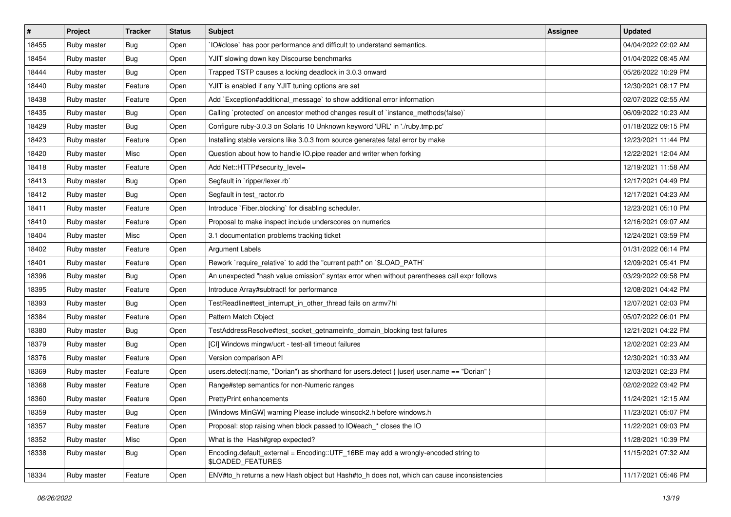| $\sharp$ | Project     | <b>Tracker</b> | <b>Status</b> | Subject                                                                                                 | <b>Assignee</b> | <b>Updated</b>      |
|----------|-------------|----------------|---------------|---------------------------------------------------------------------------------------------------------|-----------------|---------------------|
| 18455    | Ruby master | <b>Bug</b>     | Open          | IO#close` has poor performance and difficult to understand semantics.                                   |                 | 04/04/2022 02:02 AM |
| 18454    | Ruby master | <b>Bug</b>     | Open          | YJIT slowing down key Discourse benchmarks                                                              |                 | 01/04/2022 08:45 AM |
| 18444    | Ruby master | <b>Bug</b>     | Open          | Trapped TSTP causes a locking deadlock in 3.0.3 onward                                                  |                 | 05/26/2022 10:29 PM |
| 18440    | Ruby master | Feature        | Open          | YJIT is enabled if any YJIT tuning options are set                                                      |                 | 12/30/2021 08:17 PM |
| 18438    | Ruby master | Feature        | Open          | Add `Exception#additional_message` to show additional error information                                 |                 | 02/07/2022 02:55 AM |
| 18435    | Ruby master | <b>Bug</b>     | Open          | Calling `protected` on ancestor method changes result of `instance_methods(false)`                      |                 | 06/09/2022 10:23 AM |
| 18429    | Ruby master | <b>Bug</b>     | Open          | Configure ruby-3.0.3 on Solaris 10 Unknown keyword 'URL' in './ruby.tmp.pc'                             |                 | 01/18/2022 09:15 PM |
| 18423    | Ruby master | Feature        | Open          | Installing stable versions like 3.0.3 from source generates fatal error by make                         |                 | 12/23/2021 11:44 PM |
| 18420    | Ruby master | Misc           | Open          | Question about how to handle IO.pipe reader and writer when forking                                     |                 | 12/22/2021 12:04 AM |
| 18418    | Ruby master | Feature        | Open          | Add Net::HTTP#security_level=                                                                           |                 | 12/19/2021 11:58 AM |
| 18413    | Ruby master | <b>Bug</b>     | Open          | Segfault in `ripper/lexer.rb`                                                                           |                 | 12/17/2021 04:49 PM |
| 18412    | Ruby master | <b>Bug</b>     | Open          | Segfault in test_ractor.rb                                                                              |                 | 12/17/2021 04:23 AM |
| 18411    | Ruby master | Feature        | Open          | Introduce `Fiber.blocking` for disabling scheduler.                                                     |                 | 12/23/2021 05:10 PM |
| 18410    | Ruby master | Feature        | Open          | Proposal to make inspect include underscores on numerics                                                |                 | 12/16/2021 09:07 AM |
| 18404    | Ruby master | Misc           | Open          | 3.1 documentation problems tracking ticket                                                              |                 | 12/24/2021 03:59 PM |
| 18402    | Ruby master | Feature        | Open          | Argument Labels                                                                                         |                 | 01/31/2022 06:14 PM |
| 18401    | Ruby master | Feature        | Open          | Rework `require_relative` to add the "current path" on `\$LOAD_PATH`                                    |                 | 12/09/2021 05:41 PM |
| 18396    | Ruby master | Bug            | Open          | An unexpected "hash value omission" syntax error when without parentheses call expr follows             |                 | 03/29/2022 09:58 PM |
| 18395    | Ruby master | Feature        | Open          | Introduce Array#subtract! for performance                                                               |                 | 12/08/2021 04:42 PM |
| 18393    | Ruby master | <b>Bug</b>     | Open          | TestReadline#test_interrupt_in_other_thread fails on armv7hl                                            |                 | 12/07/2021 02:03 PM |
| 18384    | Ruby master | Feature        | Open          | Pattern Match Object                                                                                    |                 | 05/07/2022 06:01 PM |
| 18380    | Ruby master | <b>Bug</b>     | Open          | TestAddressResolve#test_socket_getnameinfo_domain_blocking test failures                                |                 | 12/21/2021 04:22 PM |
| 18379    | Ruby master | <b>Bug</b>     | Open          | [CI] Windows mingw/ucrt - test-all timeout failures                                                     |                 | 12/02/2021 02:23 AM |
| 18376    | Ruby master | Feature        | Open          | Version comparison API                                                                                  |                 | 12/30/2021 10:33 AM |
| 18369    | Ruby master | Feature        | Open          | users.detect(:name, "Dorian") as shorthand for users.detect {  user  user.name == "Dorian" }            |                 | 12/03/2021 02:23 PM |
| 18368    | Ruby master | Feature        | Open          | Range#step semantics for non-Numeric ranges                                                             |                 | 02/02/2022 03:42 PM |
| 18360    | Ruby master | Feature        | Open          | PrettyPrint enhancements                                                                                |                 | 11/24/2021 12:15 AM |
| 18359    | Ruby master | Bug            | Open          | [Windows MinGW] warning Please include winsock2.h before windows.h                                      |                 | 11/23/2021 05:07 PM |
| 18357    | Ruby master | Feature        | Open          | Proposal: stop raising when block passed to IO#each * closes the IO                                     |                 | 11/22/2021 09:03 PM |
| 18352    | Ruby master | Misc           | Open          | What is the Hash#grep expected?                                                                         |                 | 11/28/2021 10:39 PM |
| 18338    | Ruby master | <b>Bug</b>     | Open          | Encoding.default_external = Encoding::UTF_16BE may add a wrongly-encoded string to<br>\$LOADED_FEATURES |                 | 11/15/2021 07:32 AM |
| 18334    | Ruby master | Feature        | Open          | ENV#to h returns a new Hash object but Hash#to h does not, which can cause inconsistencies              |                 | 11/17/2021 05:46 PM |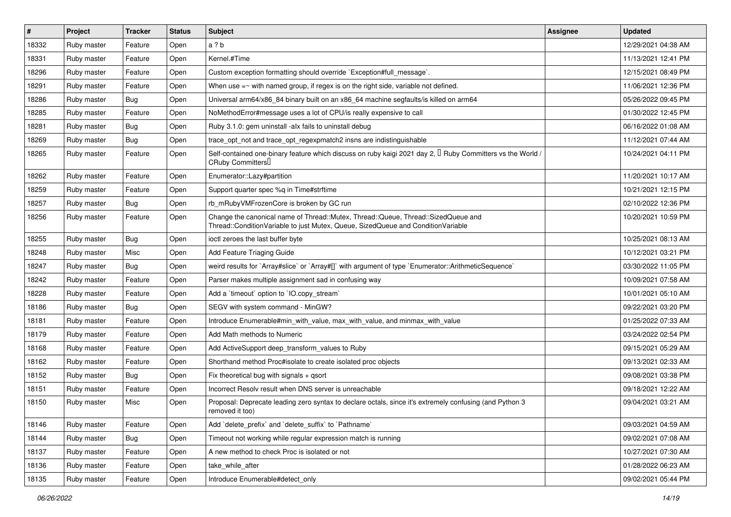| $\vert$ # | Project     | <b>Tracker</b> | <b>Status</b> | <b>Subject</b>                                                                                                                                                        | <b>Assignee</b> | <b>Updated</b>      |
|-----------|-------------|----------------|---------------|-----------------------------------------------------------------------------------------------------------------------------------------------------------------------|-----------------|---------------------|
| 18332     | Ruby master | Feature        | Open          | a ? b                                                                                                                                                                 |                 | 12/29/2021 04:38 AM |
| 18331     | Ruby master | Feature        | Open          | Kernel.#Time                                                                                                                                                          |                 | 11/13/2021 12:41 PM |
| 18296     | Ruby master | Feature        | Open          | Custom exception formatting should override `Exception#full_message`.                                                                                                 |                 | 12/15/2021 08:49 PM |
| 18291     | Ruby master | Feature        | Open          | When use $=$ with named group, if regex is on the right side, variable not defined.                                                                                   |                 | 11/06/2021 12:36 PM |
| 18286     | Ruby master | Bug            | Open          | Universal arm64/x86_84 binary built on an x86_64 machine segfaults/is killed on arm64                                                                                 |                 | 05/26/2022 09:45 PM |
| 18285     | Ruby master | Feature        | Open          | NoMethodError#message uses a lot of CPU/is really expensive to call                                                                                                   |                 | 01/30/2022 12:45 PM |
| 18281     | Ruby master | Bug            | Open          | Ruby 3.1.0: gem uninstall -alx fails to uninstall debug                                                                                                               |                 | 06/16/2022 01:08 AM |
| 18269     | Ruby master | Bug            | Open          | trace opt not and trace opt regexpmatch2 insns are indistinguishable                                                                                                  |                 | 11/12/2021 07:44 AM |
| 18265     | Ruby master | Feature        | Open          | Self-contained one-binary feature which discuss on ruby kaigi 2021 day 2, $\Box$ Ruby Committers vs the World /<br>CRuby Committers <sup>[]</sup>                     |                 | 10/24/2021 04:11 PM |
| 18262     | Ruby master | Feature        | Open          | Enumerator::Lazy#partition                                                                                                                                            |                 | 11/20/2021 10:17 AM |
| 18259     | Ruby master | Feature        | Open          | Support quarter spec %q in Time#strftime                                                                                                                              |                 | 10/21/2021 12:15 PM |
| 18257     | Ruby master | <b>Bug</b>     | Open          | rb_mRubyVMFrozenCore is broken by GC run                                                                                                                              |                 | 02/10/2022 12:36 PM |
| 18256     | Ruby master | Feature        | Open          | Change the canonical name of Thread::Mutex, Thread::Queue, Thread::SizedQueue and<br>Thread::ConditionVariable to just Mutex, Queue, SizedQueue and ConditionVariable |                 | 10/20/2021 10:59 PM |
| 18255     | Ruby master | Bug            | Open          | ioctl zeroes the last buffer byte                                                                                                                                     |                 | 10/25/2021 08:13 AM |
| 18248     | Ruby master | Misc           | Open          | Add Feature Triaging Guide                                                                                                                                            |                 | 10/12/2021 03:21 PM |
| 18247     | Ruby master | Bug            | Open          | weird results for `Array#slice` or `Array#[]` with argument of type `Enumerator::ArithmeticSequence`                                                                  |                 | 03/30/2022 11:05 PM |
| 18242     | Ruby master | Feature        | Open          | Parser makes multiple assignment sad in confusing way                                                                                                                 |                 | 10/09/2021 07:58 AM |
| 18228     | Ruby master | Feature        | Open          | Add a 'timeout' option to 'IO.copy_stream'                                                                                                                            |                 | 10/01/2021 05:10 AM |
| 18186     | Ruby master | Bug            | Open          | SEGV with system command - MinGW?                                                                                                                                     |                 | 09/22/2021 03:20 PM |
| 18181     | Ruby master | Feature        | Open          | Introduce Enumerable#min with value, max with value, and minmax with value                                                                                            |                 | 01/25/2022 07:33 AM |
| 18179     | Ruby master | Feature        | Open          | Add Math methods to Numeric                                                                                                                                           |                 | 03/24/2022 02:54 PM |
| 18168     | Ruby master | Feature        | Open          | Add ActiveSupport deep transform values to Ruby                                                                                                                       |                 | 09/15/2021 05:29 AM |
| 18162     | Ruby master | Feature        | Open          | Shorthand method Proc#isolate to create isolated proc objects                                                                                                         |                 | 09/13/2021 02:33 AM |
| 18152     | Ruby master | Bug            | Open          | Fix theoretical bug with signals + qsort                                                                                                                              |                 | 09/08/2021 03:38 PM |
| 18151     | Ruby master | Feature        | Open          | Incorrect Resolv result when DNS server is unreachable                                                                                                                |                 | 09/18/2021 12:22 AM |
| 18150     | Ruby master | Misc           | Open          | Proposal: Deprecate leading zero syntax to declare octals, since it's extremely confusing (and Python 3<br>removed it too)                                            |                 | 09/04/2021 03:21 AM |
| 18146     | Ruby master | Feature        | Open          | Add 'delete_prefix' and 'delete_suffix' to 'Pathname'                                                                                                                 |                 | 09/03/2021 04:59 AM |
| 18144     | Ruby master | <b>Bug</b>     | Open          | Timeout not working while regular expression match is running                                                                                                         |                 | 09/02/2021 07:08 AM |
| 18137     | Ruby master | Feature        | Open          | A new method to check Proc is isolated or not                                                                                                                         |                 | 10/27/2021 07:30 AM |
| 18136     | Ruby master | Feature        | Open          | take_while_after                                                                                                                                                      |                 | 01/28/2022 06:23 AM |
| 18135     | Ruby master | Feature        | Open          | Introduce Enumerable#detect_only                                                                                                                                      |                 | 09/02/2021 05:44 PM |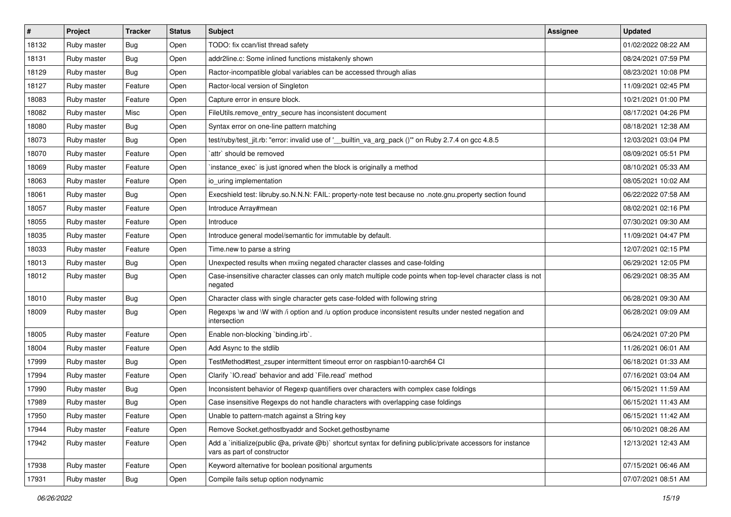| $\#$  | Project     | <b>Tracker</b> | <b>Status</b> | Subject                                                                                                                                     | <b>Assignee</b> | <b>Updated</b>      |
|-------|-------------|----------------|---------------|---------------------------------------------------------------------------------------------------------------------------------------------|-----------------|---------------------|
| 18132 | Ruby master | Bug            | Open          | TODO: fix ccan/list thread safety                                                                                                           |                 | 01/02/2022 08:22 AM |
| 18131 | Ruby master | Bug            | Open          | addr2line.c: Some inlined functions mistakenly shown                                                                                        |                 | 08/24/2021 07:59 PM |
| 18129 | Ruby master | Bug            | Open          | Ractor-incompatible global variables can be accessed through alias                                                                          |                 | 08/23/2021 10:08 PM |
| 18127 | Ruby master | Feature        | Open          | Ractor-local version of Singleton                                                                                                           |                 | 11/09/2021 02:45 PM |
| 18083 | Ruby master | Feature        | Open          | Capture error in ensure block.                                                                                                              |                 | 10/21/2021 01:00 PM |
| 18082 | Ruby master | Misc           | Open          | FileUtils.remove_entry_secure has inconsistent document                                                                                     |                 | 08/17/2021 04:26 PM |
| 18080 | Ruby master | Bug            | Open          | Syntax error on one-line pattern matching                                                                                                   |                 | 08/18/2021 12:38 AM |
| 18073 | Ruby master | Bug            | Open          | test/ruby/test_jit.rb: "error: invalid use of '__builtin_va_arg_pack ()" on Ruby 2.7.4 on gcc 4.8.5                                         |                 | 12/03/2021 03:04 PM |
| 18070 | Ruby master | Feature        | Open          | `attr` should be removed                                                                                                                    |                 | 08/09/2021 05:51 PM |
| 18069 | Ruby master | Feature        | Open          | 'instance_exec' is just ignored when the block is originally a method                                                                       |                 | 08/10/2021 05:33 AM |
| 18063 | Ruby master | Feature        | Open          | io uring implementation                                                                                                                     |                 | 08/05/2021 10:02 AM |
| 18061 | Ruby master | Bug            | Open          | Execshield test: libruby.so.N.N.N: FAIL: property-note test because no .note.gnu.property section found                                     |                 | 06/22/2022 07:58 AM |
| 18057 | Ruby master | Feature        | Open          | Introduce Array#mean                                                                                                                        |                 | 08/02/2021 02:16 PM |
| 18055 | Ruby master | Feature        | Open          | Introduce                                                                                                                                   |                 | 07/30/2021 09:30 AM |
| 18035 | Ruby master | Feature        | Open          | Introduce general model/semantic for immutable by default.                                                                                  |                 | 11/09/2021 04:47 PM |
| 18033 | Ruby master | Feature        | Open          | Time.new to parse a string                                                                                                                  |                 | 12/07/2021 02:15 PM |
| 18013 | Ruby master | Bug            | Open          | Unexpected results when mxiing negated character classes and case-folding                                                                   |                 | 06/29/2021 12:05 PM |
| 18012 | Ruby master | Bug            | Open          | Case-insensitive character classes can only match multiple code points when top-level character class is not<br>negated                     |                 | 06/29/2021 08:35 AM |
| 18010 | Ruby master | Bug            | Open          | Character class with single character gets case-folded with following string                                                                |                 | 06/28/2021 09:30 AM |
| 18009 | Ruby master | Bug            | Open          | Regexps \w and \W with /i option and /u option produce inconsistent results under nested negation and<br>intersection                       |                 | 06/28/2021 09:09 AM |
| 18005 | Ruby master | Feature        | Open          | Enable non-blocking 'binding.irb'.                                                                                                          |                 | 06/24/2021 07:20 PM |
| 18004 | Ruby master | Feature        | Open          | Add Async to the stdlib                                                                                                                     |                 | 11/26/2021 06:01 AM |
| 17999 | Ruby master | Bug            | Open          | TestMethod#test_zsuper intermittent timeout error on raspbian10-aarch64 CI                                                                  |                 | 06/18/2021 01:33 AM |
| 17994 | Ruby master | Feature        | Open          | Clarify `IO.read` behavior and add `File.read` method                                                                                       |                 | 07/16/2021 03:04 AM |
| 17990 | Ruby master | Bug            | Open          | Inconsistent behavior of Regexp quantifiers over characters with complex case foldings                                                      |                 | 06/15/2021 11:59 AM |
| 17989 | Ruby master | <b>Bug</b>     | Open          | Case insensitive Regexps do not handle characters with overlapping case foldings                                                            |                 | 06/15/2021 11:43 AM |
| 17950 | Ruby master | Feature        | Open          | Unable to pattern-match against a String key                                                                                                |                 | 06/15/2021 11:42 AM |
| 17944 | Ruby master | Feature        | Open          | Remove Socket.gethostbyaddr and Socket.gethostbyname                                                                                        |                 | 06/10/2021 08:26 AM |
| 17942 | Ruby master | Feature        | Open          | Add a `initialize(public @a, private @b)` shortcut syntax for defining public/private accessors for instance<br>vars as part of constructor |                 | 12/13/2021 12:43 AM |
| 17938 | Ruby master | Feature        | Open          | Keyword alternative for boolean positional arguments                                                                                        |                 | 07/15/2021 06:46 AM |
| 17931 | Ruby master | Bug            | Open          | Compile fails setup option nodynamic                                                                                                        |                 | 07/07/2021 08:51 AM |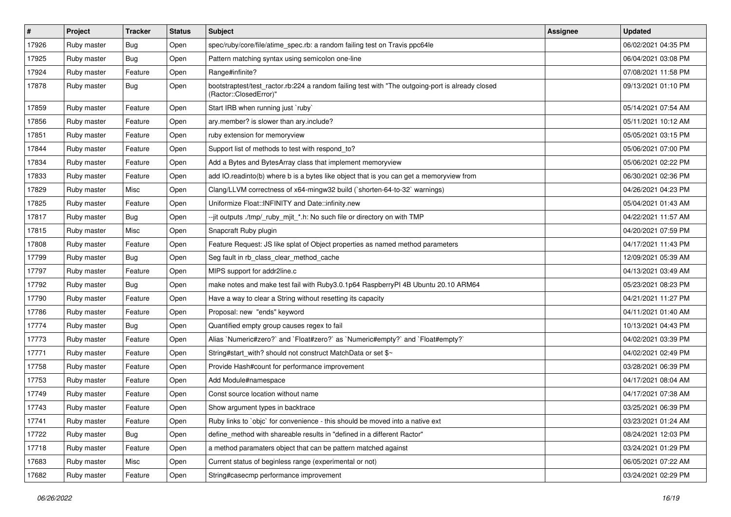| $\#$  | Project     | <b>Tracker</b> | <b>Status</b> | Subject                                                                                                                    | <b>Assignee</b> | <b>Updated</b>      |
|-------|-------------|----------------|---------------|----------------------------------------------------------------------------------------------------------------------------|-----------------|---------------------|
| 17926 | Ruby master | Bug            | Open          | spec/ruby/core/file/atime_spec.rb: a random failing test on Travis ppc64le                                                 |                 | 06/02/2021 04:35 PM |
| 17925 | Ruby master | Bug            | Open          | Pattern matching syntax using semicolon one-line                                                                           |                 | 06/04/2021 03:08 PM |
| 17924 | Ruby master | Feature        | Open          | Range#infinite?                                                                                                            |                 | 07/08/2021 11:58 PM |
| 17878 | Ruby master | Bug            | Open          | bootstraptest/test_ractor.rb:224 a random failing test with "The outgoing-port is already closed<br>(Ractor::ClosedError)" |                 | 09/13/2021 01:10 PM |
| 17859 | Ruby master | Feature        | Open          | Start IRB when running just 'ruby'                                                                                         |                 | 05/14/2021 07:54 AM |
| 17856 | Ruby master | Feature        | Open          | ary.member? is slower than ary.include?                                                                                    |                 | 05/11/2021 10:12 AM |
| 17851 | Ruby master | Feature        | Open          | ruby extension for memoryview                                                                                              |                 | 05/05/2021 03:15 PM |
| 17844 | Ruby master | Feature        | Open          | Support list of methods to test with respond_to?                                                                           |                 | 05/06/2021 07:00 PM |
| 17834 | Ruby master | Feature        | Open          | Add a Bytes and BytesArray class that implement memoryview                                                                 |                 | 05/06/2021 02:22 PM |
| 17833 | Ruby master | Feature        | Open          | add IO.readinto(b) where b is a bytes like object that is you can get a memoryview from                                    |                 | 06/30/2021 02:36 PM |
| 17829 | Ruby master | Misc           | Open          | Clang/LLVM correctness of x64-mingw32 build (`shorten-64-to-32` warnings)                                                  |                 | 04/26/2021 04:23 PM |
| 17825 | Ruby master | Feature        | Open          | Uniformize Float::INFINITY and Date::infinity.new                                                                          |                 | 05/04/2021 01:43 AM |
| 17817 | Ruby master | Bug            | Open          | --jit outputs ./tmp/_ruby_mjit_*.h: No such file or directory on with TMP                                                  |                 | 04/22/2021 11:57 AM |
| 17815 | Ruby master | Misc           | Open          | Snapcraft Ruby plugin                                                                                                      |                 | 04/20/2021 07:59 PM |
| 17808 | Ruby master | Feature        | Open          | Feature Request: JS like splat of Object properties as named method parameters                                             |                 | 04/17/2021 11:43 PM |
| 17799 | Ruby master | Bug            | Open          | Seg fault in rb_class_clear_method_cache                                                                                   |                 | 12/09/2021 05:39 AM |
| 17797 | Ruby master | Feature        | Open          | MIPS support for addr2line.c                                                                                               |                 | 04/13/2021 03:49 AM |
| 17792 | Ruby master | <b>Bug</b>     | Open          | make notes and make test fail with Ruby3.0.1p64 RaspberryPI 4B Ubuntu 20.10 ARM64                                          |                 | 05/23/2021 08:23 PM |
| 17790 | Ruby master | Feature        | Open          | Have a way to clear a String without resetting its capacity                                                                |                 | 04/21/2021 11:27 PM |
| 17786 | Ruby master | Feature        | Open          | Proposal: new "ends" keyword                                                                                               |                 | 04/11/2021 01:40 AM |
| 17774 | Ruby master | Bug            | Open          | Quantified empty group causes regex to fail                                                                                |                 | 10/13/2021 04:43 PM |
| 17773 | Ruby master | Feature        | Open          | Alias `Numeric#zero?` and `Float#zero?` as `Numeric#empty?` and `Float#empty?`                                             |                 | 04/02/2021 03:39 PM |
| 17771 | Ruby master | Feature        | Open          | String#start_with? should not construct MatchData or set \$~                                                               |                 | 04/02/2021 02:49 PM |
| 17758 | Ruby master | Feature        | Open          | Provide Hash#count for performance improvement                                                                             |                 | 03/28/2021 06:39 PM |
| 17753 | Ruby master | Feature        | Open          | Add Module#namespace                                                                                                       |                 | 04/17/2021 08:04 AM |
| 17749 | Ruby master | Feature        | Open          | Const source location without name                                                                                         |                 | 04/17/2021 07:38 AM |
| 17743 | Ruby master | Feature        | Open          | Show argument types in backtrace                                                                                           |                 | 03/25/2021 06:39 PM |
| 17741 | Ruby master | Feature        | Open          | Ruby links to `objc` for convenience - this should be moved into a native ext                                              |                 | 03/23/2021 01:24 AM |
| 17722 | Ruby master | Bug            | Open          | define_method with shareable results in "defined in a different Ractor"                                                    |                 | 08/24/2021 12:03 PM |
| 17718 | Ruby master | Feature        | Open          | a method paramaters object that can be pattern matched against                                                             |                 | 03/24/2021 01:29 PM |
| 17683 | Ruby master | Misc           | Open          | Current status of beginless range (experimental or not)                                                                    |                 | 06/05/2021 07:22 AM |
| 17682 | Ruby master | Feature        | Open          | String#casecmp performance improvement                                                                                     |                 | 03/24/2021 02:29 PM |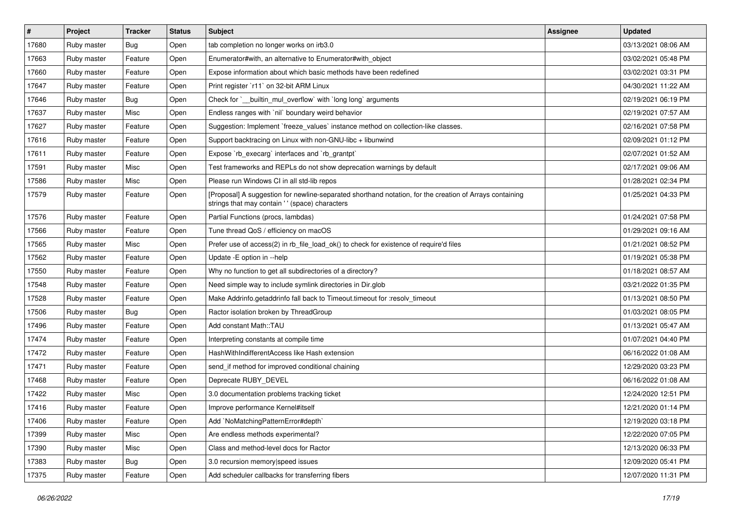| $\vert$ # | Project     | <b>Tracker</b> | <b>Status</b> | Subject                                                                                                                                                   | <b>Assignee</b> | <b>Updated</b>      |
|-----------|-------------|----------------|---------------|-----------------------------------------------------------------------------------------------------------------------------------------------------------|-----------------|---------------------|
| 17680     | Ruby master | Bug            | Open          | tab completion no longer works on irb3.0                                                                                                                  |                 | 03/13/2021 08:06 AM |
| 17663     | Ruby master | Feature        | Open          | Enumerator#with, an alternative to Enumerator#with_object                                                                                                 |                 | 03/02/2021 05:48 PM |
| 17660     | Ruby master | Feature        | Open          | Expose information about which basic methods have been redefined                                                                                          |                 | 03/02/2021 03:31 PM |
| 17647     | Ruby master | Feature        | Open          | Print register `r11` on 32-bit ARM Linux                                                                                                                  |                 | 04/30/2021 11:22 AM |
| 17646     | Ruby master | Bug            | Open          | Check for `_builtin_mul_overflow` with `long long` arguments                                                                                              |                 | 02/19/2021 06:19 PM |
| 17637     | Ruby master | Misc           | Open          | Endless ranges with `nil` boundary weird behavior                                                                                                         |                 | 02/19/2021 07:57 AM |
| 17627     | Ruby master | Feature        | Open          | Suggestion: Implement `freeze_values` instance method on collection-like classes.                                                                         |                 | 02/16/2021 07:58 PM |
| 17616     | Ruby master | Feature        | Open          | Support backtracing on Linux with non-GNU-libc + libunwind                                                                                                |                 | 02/09/2021 01:12 PM |
| 17611     | Ruby master | Feature        | Open          | Expose `rb_execarg` interfaces and `rb_grantpt`                                                                                                           |                 | 02/07/2021 01:52 AM |
| 17591     | Ruby master | Misc           | Open          | Test frameworks and REPLs do not show deprecation warnings by default                                                                                     |                 | 02/17/2021 09:06 AM |
| 17586     | Ruby master | Misc           | Open          | Please run Windows CI in all std-lib repos                                                                                                                |                 | 01/28/2021 02:34 PM |
| 17579     | Ruby master | Feature        | Open          | [Proposal] A suggestion for newline-separated shorthand notation, for the creation of Arrays containing<br>strings that may contain '' (space) characters |                 | 01/25/2021 04:33 PM |
| 17576     | Ruby master | Feature        | Open          | Partial Functions (procs, lambdas)                                                                                                                        |                 | 01/24/2021 07:58 PM |
| 17566     | Ruby master | Feature        | Open          | Tune thread QoS / efficiency on macOS                                                                                                                     |                 | 01/29/2021 09:16 AM |
| 17565     | Ruby master | Misc           | Open          | Prefer use of access(2) in rb_file_load_ok() to check for existence of require'd files                                                                    |                 | 01/21/2021 08:52 PM |
| 17562     | Ruby master | Feature        | Open          | Update - E option in --help                                                                                                                               |                 | 01/19/2021 05:38 PM |
| 17550     | Ruby master | Feature        | Open          | Why no function to get all subdirectories of a directory?                                                                                                 |                 | 01/18/2021 08:57 AM |
| 17548     | Ruby master | Feature        | Open          | Need simple way to include symlink directories in Dir.glob                                                                                                |                 | 03/21/2022 01:35 PM |
| 17528     | Ruby master | Feature        | Open          | Make Addrinfo.getaddrinfo fall back to Timeout.timeout for :resolv_timeout                                                                                |                 | 01/13/2021 08:50 PM |
| 17506     | Ruby master | Bug            | Open          | Ractor isolation broken by ThreadGroup                                                                                                                    |                 | 01/03/2021 08:05 PM |
| 17496     | Ruby master | Feature        | Open          | Add constant Math::TAU                                                                                                                                    |                 | 01/13/2021 05:47 AM |
| 17474     | Ruby master | Feature        | Open          | Interpreting constants at compile time                                                                                                                    |                 | 01/07/2021 04:40 PM |
| 17472     | Ruby master | Feature        | Open          | HashWithIndifferentAccess like Hash extension                                                                                                             |                 | 06/16/2022 01:08 AM |
| 17471     | Ruby master | Feature        | Open          | send_if method for improved conditional chaining                                                                                                          |                 | 12/29/2020 03:23 PM |
| 17468     | Ruby master | Feature        | Open          | Deprecate RUBY_DEVEL                                                                                                                                      |                 | 06/16/2022 01:08 AM |
| 17422     | Ruby master | Misc           | Open          | 3.0 documentation problems tracking ticket                                                                                                                |                 | 12/24/2020 12:51 PM |
| 17416     | Ruby master | Feature        | Open          | Improve performance Kernel#itself                                                                                                                         |                 | 12/21/2020 01:14 PM |
| 17406     | Ruby master | Feature        | Open          | Add `NoMatchingPatternError#depth`                                                                                                                        |                 | 12/19/2020 03:18 PM |
| 17399     | Ruby master | Misc           | Open          | Are endless methods experimental?                                                                                                                         |                 | 12/22/2020 07:05 PM |
| 17390     | Ruby master | Misc           | Open          | Class and method-level docs for Ractor                                                                                                                    |                 | 12/13/2020 06:33 PM |
| 17383     | Ruby master | <b>Bug</b>     | Open          | 3.0 recursion memory speed issues                                                                                                                         |                 | 12/09/2020 05:41 PM |
| 17375     | Ruby master | Feature        | Open          | Add scheduler callbacks for transferring fibers                                                                                                           |                 | 12/07/2020 11:31 PM |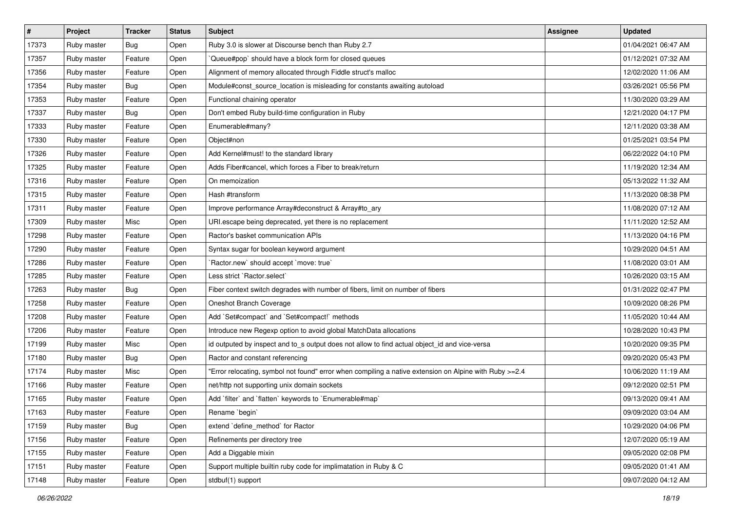| $\vert$ # | Project     | <b>Tracker</b> | <b>Status</b> | Subject                                                                                                | <b>Assignee</b> | <b>Updated</b>      |
|-----------|-------------|----------------|---------------|--------------------------------------------------------------------------------------------------------|-----------------|---------------------|
| 17373     | Ruby master | Bug            | Open          | Ruby 3.0 is slower at Discourse bench than Ruby 2.7                                                    |                 | 01/04/2021 06:47 AM |
| 17357     | Ruby master | Feature        | Open          | Queue#pop` should have a block form for closed queues                                                  |                 | 01/12/2021 07:32 AM |
| 17356     | Ruby master | Feature        | Open          | Alignment of memory allocated through Fiddle struct's malloc                                           |                 | 12/02/2020 11:06 AM |
| 17354     | Ruby master | Bug            | Open          | Module#const_source_location is misleading for constants awaiting autoload                             |                 | 03/26/2021 05:56 PM |
| 17353     | Ruby master | Feature        | Open          | Functional chaining operator                                                                           |                 | 11/30/2020 03:29 AM |
| 17337     | Ruby master | <b>Bug</b>     | Open          | Don't embed Ruby build-time configuration in Ruby                                                      |                 | 12/21/2020 04:17 PM |
| 17333     | Ruby master | Feature        | Open          | Enumerable#many?                                                                                       |                 | 12/11/2020 03:38 AM |
| 17330     | Ruby master | Feature        | Open          | Object#non                                                                                             |                 | 01/25/2021 03:54 PM |
| 17326     | Ruby master | Feature        | Open          | Add Kernel#must! to the standard library                                                               |                 | 06/22/2022 04:10 PM |
| 17325     | Ruby master | Feature        | Open          | Adds Fiber#cancel, which forces a Fiber to break/return                                                |                 | 11/19/2020 12:34 AM |
| 17316     | Ruby master | Feature        | Open          | On memoization                                                                                         |                 | 05/13/2022 11:32 AM |
| 17315     | Ruby master | Feature        | Open          | Hash #transform                                                                                        |                 | 11/13/2020 08:38 PM |
| 17311     | Ruby master | Feature        | Open          | Improve performance Array#deconstruct & Array#to_ary                                                   |                 | 11/08/2020 07:12 AM |
| 17309     | Ruby master | Misc           | Open          | URI escape being deprecated, yet there is no replacement                                               |                 | 11/11/2020 12:52 AM |
| 17298     | Ruby master | Feature        | Open          | Ractor's basket communication APIs                                                                     |                 | 11/13/2020 04:16 PM |
| 17290     | Ruby master | Feature        | Open          | Syntax sugar for boolean keyword argument                                                              |                 | 10/29/2020 04:51 AM |
| 17286     | Ruby master | Feature        | Open          | 'Ractor.new' should accept 'move: true'                                                                |                 | 11/08/2020 03:01 AM |
| 17285     | Ruby master | Feature        | Open          | Less strict `Ractor.select`                                                                            |                 | 10/26/2020 03:15 AM |
| 17263     | Ruby master | <b>Bug</b>     | Open          | Fiber context switch degrades with number of fibers, limit on number of fibers                         |                 | 01/31/2022 02:47 PM |
| 17258     | Ruby master | Feature        | Open          | Oneshot Branch Coverage                                                                                |                 | 10/09/2020 08:26 PM |
| 17208     | Ruby master | Feature        | Open          | Add `Set#compact` and `Set#compact!` methods                                                           |                 | 11/05/2020 10:44 AM |
| 17206     | Ruby master | Feature        | Open          | Introduce new Regexp option to avoid global MatchData allocations                                      |                 | 10/28/2020 10:43 PM |
| 17199     | Ruby master | Misc           | Open          | id outputed by inspect and to_s output does not allow to find actual object_id and vice-versa          |                 | 10/20/2020 09:35 PM |
| 17180     | Ruby master | Bug            | Open          | Ractor and constant referencing                                                                        |                 | 09/20/2020 05:43 PM |
| 17174     | Ruby master | Misc           | Open          | 'Error relocating, symbol not found" error when compiling a native extension on Alpine with Ruby >=2.4 |                 | 10/06/2020 11:19 AM |
| 17166     | Ruby master | Feature        | Open          | net/http not supporting unix domain sockets                                                            |                 | 09/12/2020 02:51 PM |
| 17165     | Ruby master | Feature        | Open          | Add 'filter' and 'flatten' keywords to 'Enumerable#map'                                                |                 | 09/13/2020 09:41 AM |
| 17163     | Ruby master | Feature        | Open          | Rename `begin`                                                                                         |                 | 09/09/2020 03:04 AM |
| 17159     | Ruby master | Bug            | Open          | extend `define method` for Ractor                                                                      |                 | 10/29/2020 04:06 PM |
| 17156     | Ruby master | Feature        | Open          | Refinements per directory tree                                                                         |                 | 12/07/2020 05:19 AM |
| 17155     | Ruby master | Feature        | Open          | Add a Diggable mixin                                                                                   |                 | 09/05/2020 02:08 PM |
| 17151     | Ruby master | Feature        | Open          | Support multiple builtin ruby code for implimatation in Ruby & C                                       |                 | 09/05/2020 01:41 AM |
| 17148     | Ruby master | Feature        | Open          | stdbuf(1) support                                                                                      |                 | 09/07/2020 04:12 AM |